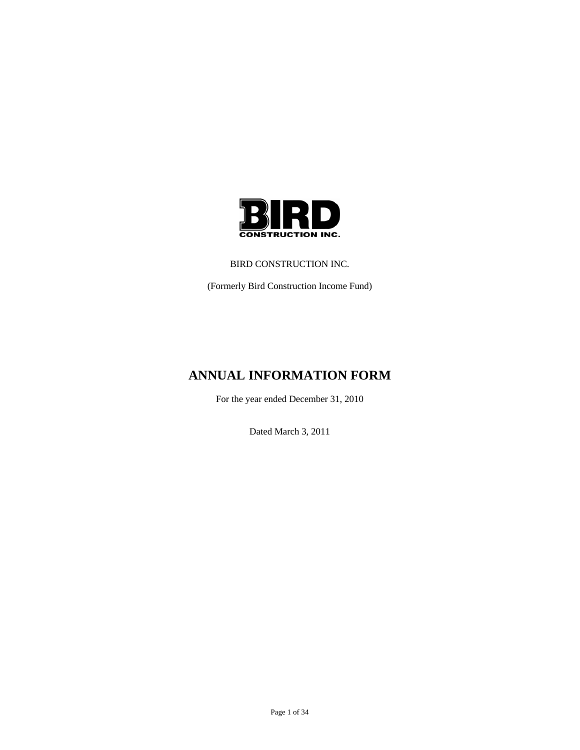

### BIRD CONSTRUCTION INC.

(Formerly Bird Construction Income Fund)

# **ANNUAL INFORMATION FORM**

For the year ended December 31, 2010

Dated March 3, 2011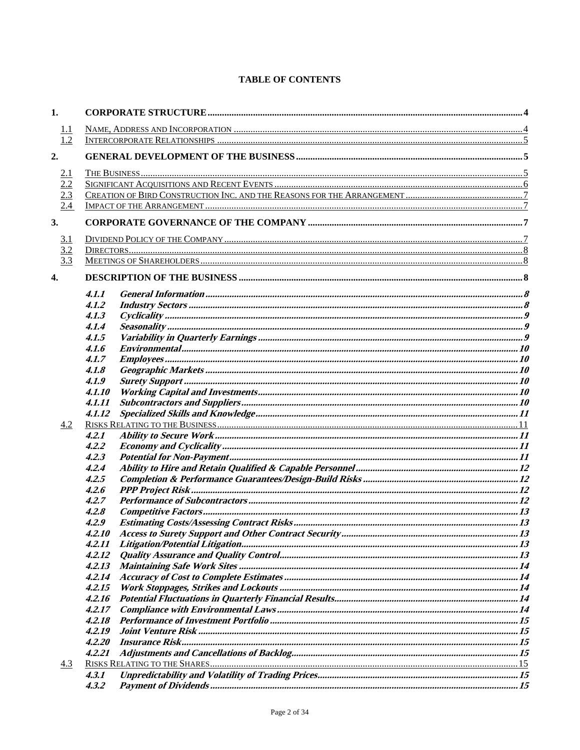# **TABLE OF CONTENTS**

| 1.                |        |  |  |
|-------------------|--------|--|--|
|                   |        |  |  |
| $\frac{1.1}{1.2}$ |        |  |  |
| 2.                |        |  |  |
|                   |        |  |  |
| 2.1               |        |  |  |
| 2.2<br>2.3        |        |  |  |
| 2.4               |        |  |  |
|                   |        |  |  |
| 3.                |        |  |  |
| 3.1               |        |  |  |
| 3.2               |        |  |  |
| 3.3               |        |  |  |
| $\overline{4}$ .  |        |  |  |
|                   | 4.1.1  |  |  |
|                   | 4.1.2  |  |  |
|                   | 4.1.3  |  |  |
|                   | 4.1.4  |  |  |
|                   | 4.1.5  |  |  |
|                   | 4.1.6  |  |  |
|                   | 4.1.7  |  |  |
|                   | 4.1.8  |  |  |
|                   | 4.1.9  |  |  |
|                   | 4.1.10 |  |  |
|                   | 4.1.11 |  |  |
|                   | 4.1.12 |  |  |
| 4.2               |        |  |  |
|                   | 4.2.1  |  |  |
|                   | 4.2.2  |  |  |
|                   |        |  |  |
|                   | 4.2.3  |  |  |
|                   | 4.2.4  |  |  |
|                   | 4.2.5  |  |  |
|                   | 4.2.6  |  |  |
|                   | 4.2.7  |  |  |
|                   | 4.2.8  |  |  |
|                   | 4.2.9  |  |  |
|                   | 4.2.10 |  |  |
|                   | 4.2.11 |  |  |
|                   | 4.2.12 |  |  |
|                   | 4.2.13 |  |  |
|                   | 4.2.14 |  |  |
|                   | 4.2.15 |  |  |
|                   | 4.2.16 |  |  |
|                   | 4.2.17 |  |  |
|                   | 4.2.18 |  |  |
|                   | 4.2.19 |  |  |
|                   | 4.2.20 |  |  |
|                   | 4.2.21 |  |  |
|                   |        |  |  |
| 4.3               |        |  |  |
|                   | 4.3.1  |  |  |
|                   | 4.3.2  |  |  |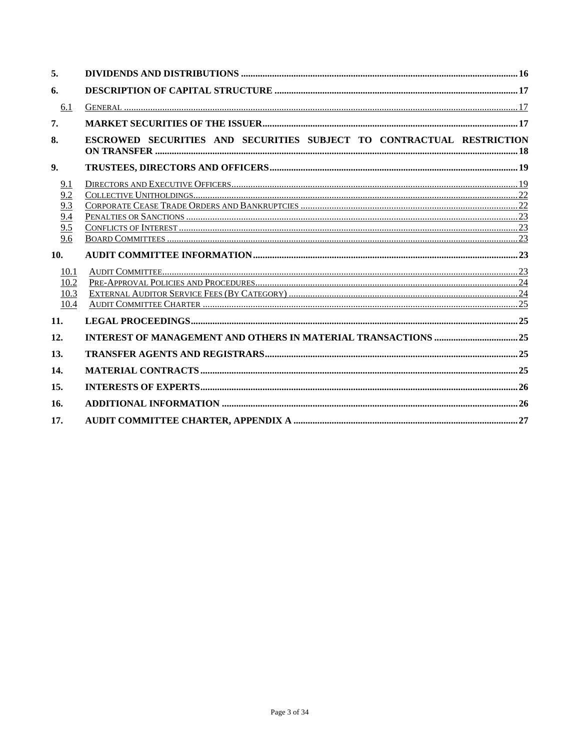| 5.                                                |                                                                       |  |
|---------------------------------------------------|-----------------------------------------------------------------------|--|
| 6.                                                |                                                                       |  |
| 6.1                                               |                                                                       |  |
| 7.                                                |                                                                       |  |
| 8.                                                | ESCROWED SECURITIES AND SECURITIES SUBJECT TO CONTRACTUAL RESTRICTION |  |
| 9.                                                |                                                                       |  |
| 9.1<br>9.6<br>10.<br>10.1<br>10.2<br>10.3<br>10.4 |                                                                       |  |
| 11.                                               |                                                                       |  |
| 12.                                               |                                                                       |  |
| 13.                                               |                                                                       |  |
| 14.                                               |                                                                       |  |
| 15.                                               |                                                                       |  |
| 16.                                               |                                                                       |  |
| 17.                                               |                                                                       |  |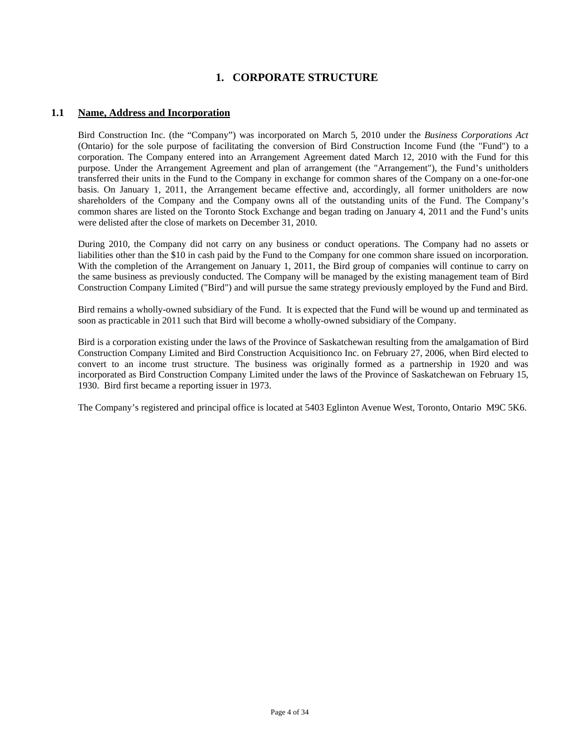# **1. CORPORATE STRUCTURE**

## **1.1 Name, Address and Incorporation**

Bird Construction Inc. (the "Company") was incorporated on March 5, 2010 under the *Business Corporations Act* (Ontario) for the sole purpose of facilitating the conversion of Bird Construction Income Fund (the "Fund") to a corporation. The Company entered into an Arrangement Agreement dated March 12, 2010 with the Fund for this purpose. Under the Arrangement Agreement and plan of arrangement (the "Arrangement"), the Fund's unitholders transferred their units in the Fund to the Company in exchange for common shares of the Company on a one-for-one basis. On January 1, 2011, the Arrangement became effective and, accordingly, all former unitholders are now shareholders of the Company and the Company owns all of the outstanding units of the Fund. The Company's common shares are listed on the Toronto Stock Exchange and began trading on January 4, 2011 and the Fund's units were delisted after the close of markets on December 31, 2010.

During 2010, the Company did not carry on any business or conduct operations. The Company had no assets or liabilities other than the \$10 in cash paid by the Fund to the Company for one common share issued on incorporation. With the completion of the Arrangement on January 1, 2011, the Bird group of companies will continue to carry on the same business as previously conducted. The Company will be managed by the existing management team of Bird Construction Company Limited ("Bird") and will pursue the same strategy previously employed by the Fund and Bird.

Bird remains a wholly-owned subsidiary of the Fund. It is expected that the Fund will be wound up and terminated as soon as practicable in 2011 such that Bird will become a wholly-owned subsidiary of the Company.

Bird is a corporation existing under the laws of the Province of Saskatchewan resulting from the amalgamation of Bird Construction Company Limited and Bird Construction Acquisitionco Inc. on February 27, 2006, when Bird elected to convert to an income trust structure. The business was originally formed as a partnership in 1920 and was incorporated as Bird Construction Company Limited under the laws of the Province of Saskatchewan on February 15, 1930. Bird first became a reporting issuer in 1973.

The Company's registered and principal office is located at 5403 Eglinton Avenue West, Toronto, Ontario M9C 5K6.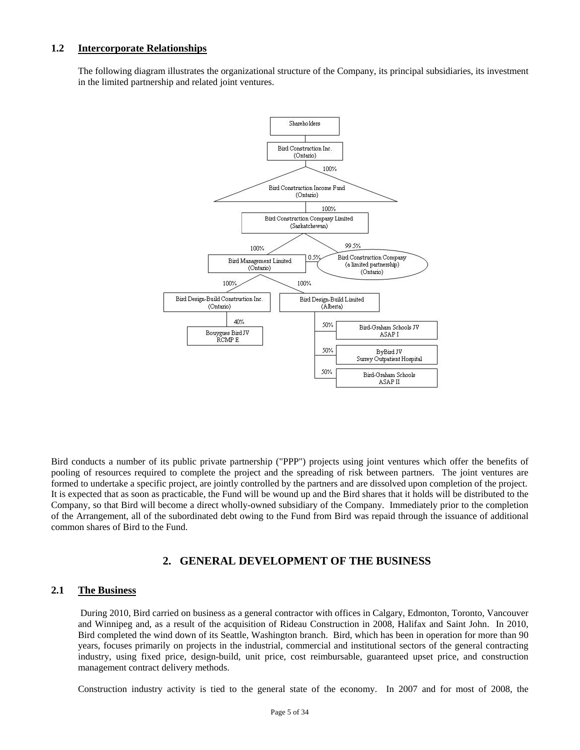### **1.2 Intercorporate Relationships**

The following diagram illustrates the organizational structure of the Company, its principal subsidiaries, its investment in the limited partnership and related joint ventures.



Bird conducts a number of its public private partnership ("PPP") projects using joint ventures which offer the benefits of pooling of resources required to complete the project and the spreading of risk between partners. The joint ventures are formed to undertake a specific project, are jointly controlled by the partners and are dissolved upon completion of the project. It is expected that as soon as practicable, the Fund will be wound up and the Bird shares that it holds will be distributed to the Company, so that Bird will become a direct wholly-owned subsidiary of the Company. Immediately prior to the completion of the Arrangement, all of the subordinated debt owing to the Fund from Bird was repaid through the issuance of additional common shares of Bird to the Fund.

## **2. GENERAL DEVELOPMENT OF THE BUSINESS**

### **2.1 The Business**

 During 2010, Bird carried on business as a general contractor with offices in Calgary, Edmonton, Toronto, Vancouver and Winnipeg and, as a result of the acquisition of Rideau Construction in 2008, Halifax and Saint John. In 2010, Bird completed the wind down of its Seattle, Washington branch. Bird, which has been in operation for more than 90 years, focuses primarily on projects in the industrial, commercial and institutional sectors of the general contracting industry, using fixed price, design-build, unit price, cost reimbursable, guaranteed upset price, and construction management contract delivery methods.

Construction industry activity is tied to the general state of the economy. In 2007 and for most of 2008, the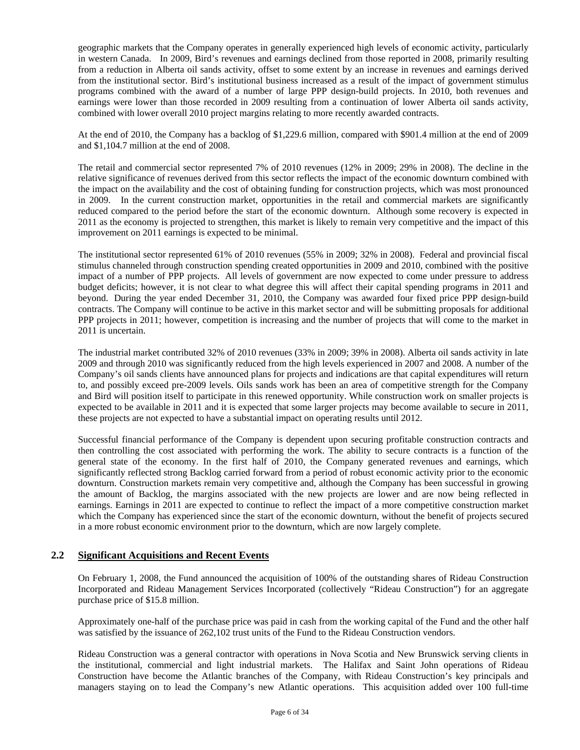geographic markets that the Company operates in generally experienced high levels of economic activity, particularly in western Canada. In 2009, Bird's revenues and earnings declined from those reported in 2008, primarily resulting from a reduction in Alberta oil sands activity, offset to some extent by an increase in revenues and earnings derived from the institutional sector. Bird's institutional business increased as a result of the impact of government stimulus programs combined with the award of a number of large PPP design-build projects. In 2010, both revenues and earnings were lower than those recorded in 2009 resulting from a continuation of lower Alberta oil sands activity, combined with lower overall 2010 project margins relating to more recently awarded contracts.

At the end of 2010, the Company has a backlog of \$1,229.6 million, compared with \$901.4 million at the end of 2009 and \$1,104.7 million at the end of 2008.

The retail and commercial sector represented 7% of 2010 revenues (12% in 2009; 29% in 2008). The decline in the relative significance of revenues derived from this sector reflects the impact of the economic downturn combined with the impact on the availability and the cost of obtaining funding for construction projects, which was most pronounced in 2009. In the current construction market, opportunities in the retail and commercial markets are significantly reduced compared to the period before the start of the economic downturn. Although some recovery is expected in 2011 as the economy is projected to strengthen, this market is likely to remain very competitive and the impact of this improvement on 2011 earnings is expected to be minimal.

The institutional sector represented 61% of 2010 revenues (55% in 2009; 32% in 2008). Federal and provincial fiscal stimulus channeled through construction spending created opportunities in 2009 and 2010, combined with the positive impact of a number of PPP projects. All levels of government are now expected to come under pressure to address budget deficits; however, it is not clear to what degree this will affect their capital spending programs in 2011 and beyond. During the year ended December 31, 2010, the Company was awarded four fixed price PPP design-build contracts. The Company will continue to be active in this market sector and will be submitting proposals for additional PPP projects in 2011; however, competition is increasing and the number of projects that will come to the market in 2011 is uncertain.

The industrial market contributed 32% of 2010 revenues (33% in 2009; 39% in 2008). Alberta oil sands activity in late 2009 and through 2010 was significantly reduced from the high levels experienced in 2007 and 2008. A number of the Company's oil sands clients have announced plans for projects and indications are that capital expenditures will return to, and possibly exceed pre-2009 levels. Oils sands work has been an area of competitive strength for the Company and Bird will position itself to participate in this renewed opportunity. While construction work on smaller projects is expected to be available in 2011 and it is expected that some larger projects may become available to secure in 2011, these projects are not expected to have a substantial impact on operating results until 2012.

Successful financial performance of the Company is dependent upon securing profitable construction contracts and then controlling the cost associated with performing the work. The ability to secure contracts is a function of the general state of the economy. In the first half of 2010, the Company generated revenues and earnings, which significantly reflected strong Backlog carried forward from a period of robust economic activity prior to the economic downturn. Construction markets remain very competitive and, although the Company has been successful in growing the amount of Backlog, the margins associated with the new projects are lower and are now being reflected in earnings. Earnings in 2011 are expected to continue to reflect the impact of a more competitive construction market which the Company has experienced since the start of the economic downturn, without the benefit of projects secured in a more robust economic environment prior to the downturn, which are now largely complete.

### **2.2 Significant Acquisitions and Recent Events**

On February 1, 2008, the Fund announced the acquisition of 100% of the outstanding shares of Rideau Construction Incorporated and Rideau Management Services Incorporated (collectively "Rideau Construction") for an aggregate purchase price of \$15.8 million.

Approximately one-half of the purchase price was paid in cash from the working capital of the Fund and the other half was satisfied by the issuance of 262,102 trust units of the Fund to the Rideau Construction vendors.

Rideau Construction was a general contractor with operations in Nova Scotia and New Brunswick serving clients in the institutional, commercial and light industrial markets. The Halifax and Saint John operations of Rideau Construction have become the Atlantic branches of the Company, with Rideau Construction's key principals and managers staying on to lead the Company's new Atlantic operations. This acquisition added over 100 full-time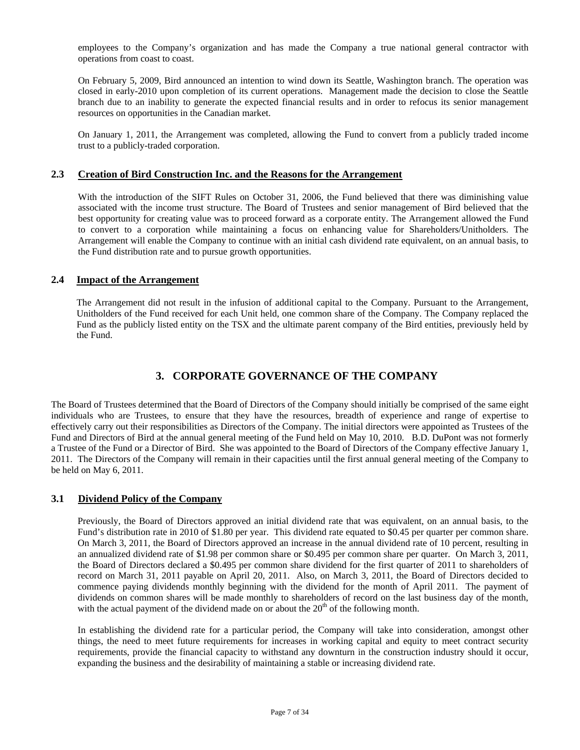employees to the Company's organization and has made the Company a true national general contractor with operations from coast to coast.

On February 5, 2009, Bird announced an intention to wind down its Seattle, Washington branch. The operation was closed in early-2010 upon completion of its current operations. Management made the decision to close the Seattle branch due to an inability to generate the expected financial results and in order to refocus its senior management resources on opportunities in the Canadian market.

On January 1, 2011, the Arrangement was completed, allowing the Fund to convert from a publicly traded income trust to a publicly-traded corporation.

## **2.3 Creation of Bird Construction Inc. and the Reasons for the Arrangement**

With the introduction of the SIFT Rules on October 31, 2006, the Fund believed that there was diminishing value associated with the income trust structure. The Board of Trustees and senior management of Bird believed that the best opportunity for creating value was to proceed forward as a corporate entity. The Arrangement allowed the Fund to convert to a corporation while maintaining a focus on enhancing value for Shareholders/Unitholders. The Arrangement will enable the Company to continue with an initial cash dividend rate equivalent, on an annual basis, to the Fund distribution rate and to pursue growth opportunities.

### **2.4 Impact of the Arrangement**

The Arrangement did not result in the infusion of additional capital to the Company. Pursuant to the Arrangement, Unitholders of the Fund received for each Unit held, one common share of the Company. The Company replaced the Fund as the publicly listed entity on the TSX and the ultimate parent company of the Bird entities, previously held by the Fund.

# **3. CORPORATE GOVERNANCE OF THE COMPANY**

The Board of Trustees determined that the Board of Directors of the Company should initially be comprised of the same eight individuals who are Trustees, to ensure that they have the resources, breadth of experience and range of expertise to effectively carry out their responsibilities as Directors of the Company. The initial directors were appointed as Trustees of the Fund and Directors of Bird at the annual general meeting of the Fund held on May 10, 2010. B.D. DuPont was not formerly a Trustee of the Fund or a Director of Bird. She was appointed to the Board of Directors of the Company effective January 1, 2011. The Directors of the Company will remain in their capacities until the first annual general meeting of the Company to be held on May 6, 2011.

### **3.1 Dividend Policy of the Company**

Previously, the Board of Directors approved an initial dividend rate that was equivalent, on an annual basis, to the Fund's distribution rate in 2010 of \$1.80 per year. This dividend rate equated to \$0.45 per quarter per common share. On March 3, 2011, the Board of Directors approved an increase in the annual dividend rate of 10 percent, resulting in an annualized dividend rate of \$1.98 per common share or \$0.495 per common share per quarter. On March 3, 2011, the Board of Directors declared a \$0.495 per common share dividend for the first quarter of 2011 to shareholders of record on March 31, 2011 payable on April 20, 2011. Also, on March 3, 2011, the Board of Directors decided to commence paying dividends monthly beginning with the dividend for the month of April 2011. The payment of dividends on common shares will be made monthly to shareholders of record on the last business day of the month, with the actual payment of the dividend made on or about the  $20<sup>th</sup>$  of the following month.

In establishing the dividend rate for a particular period, the Company will take into consideration, amongst other things, the need to meet future requirements for increases in working capital and equity to meet contract security requirements, provide the financial capacity to withstand any downturn in the construction industry should it occur, expanding the business and the desirability of maintaining a stable or increasing dividend rate.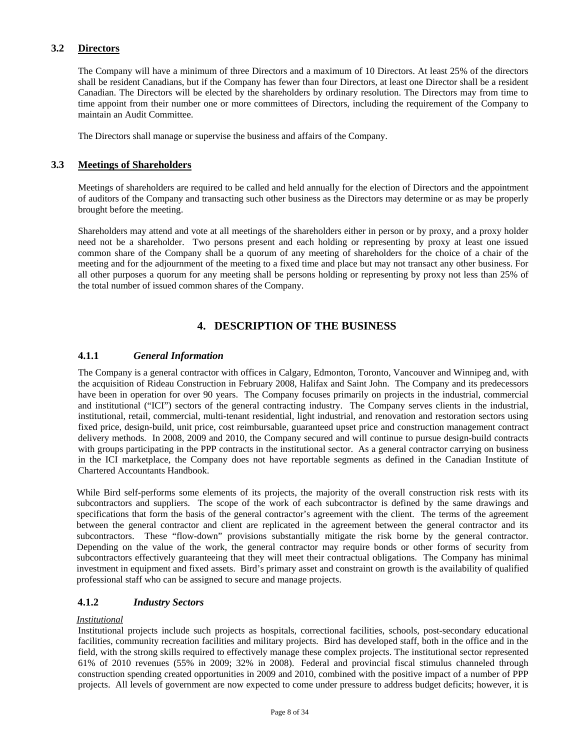## **3.2 Directors**

The Company will have a minimum of three Directors and a maximum of 10 Directors. At least 25% of the directors shall be resident Canadians, but if the Company has fewer than four Directors, at least one Director shall be a resident Canadian. The Directors will be elected by the shareholders by ordinary resolution. The Directors may from time to time appoint from their number one or more committees of Directors, including the requirement of the Company to maintain an Audit Committee.

The Directors shall manage or supervise the business and affairs of the Company.

### **3.3 Meetings of Shareholders**

Meetings of shareholders are required to be called and held annually for the election of Directors and the appointment of auditors of the Company and transacting such other business as the Directors may determine or as may be properly brought before the meeting.

Shareholders may attend and vote at all meetings of the shareholders either in person or by proxy, and a proxy holder need not be a shareholder. Two persons present and each holding or representing by proxy at least one issued common share of the Company shall be a quorum of any meeting of shareholders for the choice of a chair of the meeting and for the adjournment of the meeting to a fixed time and place but may not transact any other business. For all other purposes a quorum for any meeting shall be persons holding or representing by proxy not less than 25% of the total number of issued common shares of the Company.

# **4. DESCRIPTION OF THE BUSINESS**

### **4.1.1** *General Information*

The Company is a general contractor with offices in Calgary, Edmonton, Toronto, Vancouver and Winnipeg and, with the acquisition of Rideau Construction in February 2008, Halifax and Saint John. The Company and its predecessors have been in operation for over 90 years. The Company focuses primarily on projects in the industrial, commercial and institutional ("ICI") sectors of the general contracting industry. The Company serves clients in the industrial, institutional, retail, commercial, multi-tenant residential, light industrial, and renovation and restoration sectors using fixed price, design-build, unit price, cost reimbursable, guaranteed upset price and construction management contract delivery methods. In 2008, 2009 and 2010, the Company secured and will continue to pursue design-build contracts with groups participating in the PPP contracts in the institutional sector. As a general contractor carrying on business in the ICI marketplace, the Company does not have reportable segments as defined in the Canadian Institute of Chartered Accountants Handbook.

While Bird self-performs some elements of its projects, the majority of the overall construction risk rests with its subcontractors and suppliers. The scope of the work of each subcontractor is defined by the same drawings and specifications that form the basis of the general contractor's agreement with the client. The terms of the agreement between the general contractor and client are replicated in the agreement between the general contractor and its subcontractors. These "flow-down" provisions substantially mitigate the risk borne by the general contractor. Depending on the value of the work, the general contractor may require bonds or other forms of security from subcontractors effectively guaranteeing that they will meet their contractual obligations. The Company has minimal investment in equipment and fixed assets. Bird's primary asset and constraint on growth is the availability of qualified professional staff who can be assigned to secure and manage projects.

## **4.1.2** *Industry Sectors*

### *Institutional*

Institutional projects include such projects as hospitals, correctional facilities, schools, post-secondary educational facilities, community recreation facilities and military projects. Bird has developed staff, both in the office and in the field, with the strong skills required to effectively manage these complex projects. The institutional sector represented 61% of 2010 revenues (55% in 2009; 32% in 2008). Federal and provincial fiscal stimulus channeled through construction spending created opportunities in 2009 and 2010, combined with the positive impact of a number of PPP projects. All levels of government are now expected to come under pressure to address budget deficits; however, it is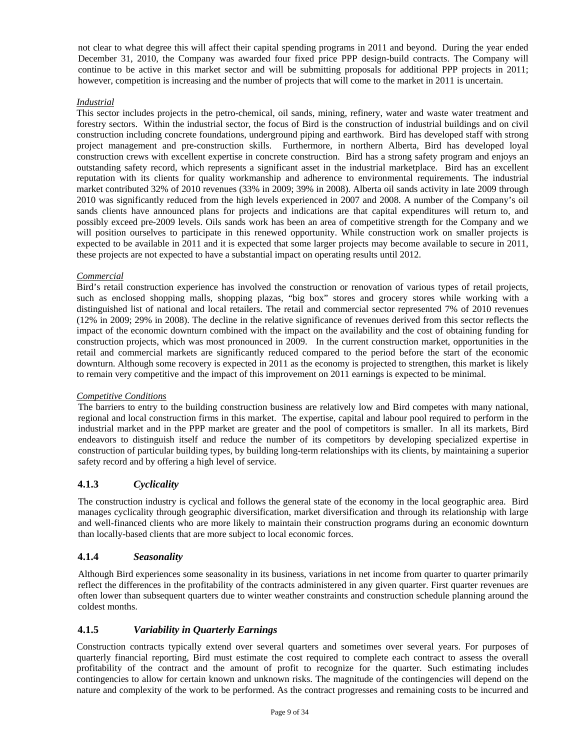not clear to what degree this will affect their capital spending programs in 2011 and beyond. During the year ended December 31, 2010, the Company was awarded four fixed price PPP design-build contracts. The Company will continue to be active in this market sector and will be submitting proposals for additional PPP projects in 2011; however, competition is increasing and the number of projects that will come to the market in 2011 is uncertain.

### *Industrial*

This sector includes projects in the petro-chemical, oil sands, mining, refinery, water and waste water treatment and forestry sectors. Within the industrial sector, the focus of Bird is the construction of industrial buildings and on civil construction including concrete foundations, underground piping and earthwork. Bird has developed staff with strong project management and pre-construction skills. Furthermore, in northern Alberta, Bird has developed loyal construction crews with excellent expertise in concrete construction. Bird has a strong safety program and enjoys an outstanding safety record, which represents a significant asset in the industrial marketplace. Bird has an excellent reputation with its clients for quality workmanship and adherence to environmental requirements. The industrial market contributed 32% of 2010 revenues (33% in 2009; 39% in 2008). Alberta oil sands activity in late 2009 through 2010 was significantly reduced from the high levels experienced in 2007 and 2008. A number of the Company's oil sands clients have announced plans for projects and indications are that capital expenditures will return to, and possibly exceed pre-2009 levels. Oils sands work has been an area of competitive strength for the Company and we will position ourselves to participate in this renewed opportunity. While construction work on smaller projects is expected to be available in 2011 and it is expected that some larger projects may become available to secure in 2011, these projects are not expected to have a substantial impact on operating results until 2012.

#### *Commercial*

Bird's retail construction experience has involved the construction or renovation of various types of retail projects, such as enclosed shopping malls, shopping plazas, "big box" stores and grocery stores while working with a distinguished list of national and local retailers. The retail and commercial sector represented 7% of 2010 revenues (12% in 2009; 29% in 2008). The decline in the relative significance of revenues derived from this sector reflects the impact of the economic downturn combined with the impact on the availability and the cost of obtaining funding for construction projects, which was most pronounced in 2009. In the current construction market, opportunities in the retail and commercial markets are significantly reduced compared to the period before the start of the economic downturn. Although some recovery is expected in 2011 as the economy is projected to strengthen, this market is likely to remain very competitive and the impact of this improvement on 2011 earnings is expected to be minimal.

#### *Competitive Conditions*

The barriers to entry to the building construction business are relatively low and Bird competes with many national, regional and local construction firms in this market. The expertise, capital and labour pool required to perform in the industrial market and in the PPP market are greater and the pool of competitors is smaller. In all its markets, Bird endeavors to distinguish itself and reduce the number of its competitors by developing specialized expertise in construction of particular building types, by building long-term relationships with its clients, by maintaining a superior safety record and by offering a high level of service.

## **4.1.3** *Cyclicality*

The construction industry is cyclical and follows the general state of the economy in the local geographic area. Bird manages cyclicality through geographic diversification, market diversification and through its relationship with large and well-financed clients who are more likely to maintain their construction programs during an economic downturn than locally-based clients that are more subject to local economic forces.

### **4.1.4** *Seasonality*

Although Bird experiences some seasonality in its business, variations in net income from quarter to quarter primarily reflect the differences in the profitability of the contracts administered in any given quarter. First quarter revenues are often lower than subsequent quarters due to winter weather constraints and construction schedule planning around the coldest months.

### **4.1.5** *Variability in Quarterly Earnings*

Construction contracts typically extend over several quarters and sometimes over several years. For purposes of quarterly financial reporting, Bird must estimate the cost required to complete each contract to assess the overall profitability of the contract and the amount of profit to recognize for the quarter. Such estimating includes contingencies to allow for certain known and unknown risks. The magnitude of the contingencies will depend on the nature and complexity of the work to be performed. As the contract progresses and remaining costs to be incurred and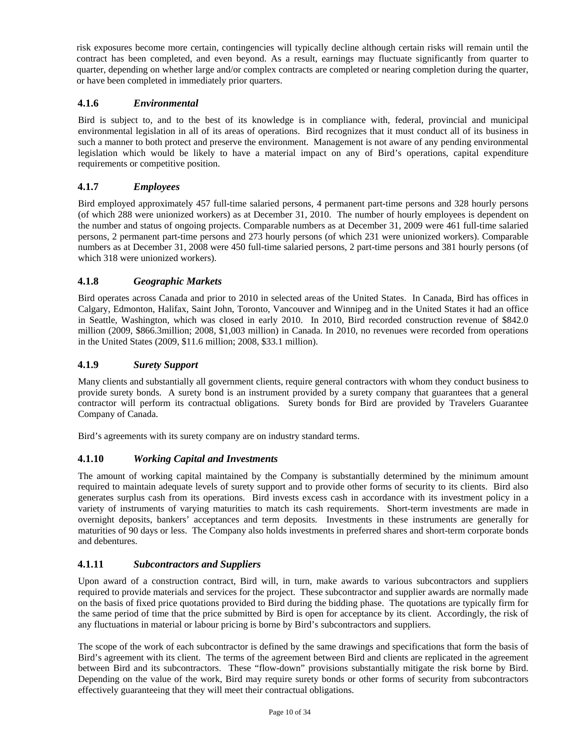risk exposures become more certain, contingencies will typically decline although certain risks will remain until the contract has been completed, and even beyond. As a result, earnings may fluctuate significantly from quarter to quarter, depending on whether large and/or complex contracts are completed or nearing completion during the quarter, or have been completed in immediately prior quarters.

## **4.1.6** *Environmental*

Bird is subject to, and to the best of its knowledge is in compliance with, federal, provincial and municipal environmental legislation in all of its areas of operations. Bird recognizes that it must conduct all of its business in such a manner to both protect and preserve the environment. Management is not aware of any pending environmental legislation which would be likely to have a material impact on any of Bird's operations, capital expenditure requirements or competitive position.

## **4.1.7** *Employees*

Bird employed approximately 457 full-time salaried persons, 4 permanent part-time persons and 328 hourly persons (of which 288 were unionized workers) as at December 31, 2010. The number of hourly employees is dependent on the number and status of ongoing projects. Comparable numbers as at December 31, 2009 were 461 full-time salaried persons, 2 permanent part-time persons and 273 hourly persons (of which 231 were unionized workers). Comparable numbers as at December 31, 2008 were 450 full-time salaried persons, 2 part-time persons and 381 hourly persons (of which 318 were unionized workers).

## **4.1.8** *Geographic Markets*

Bird operates across Canada and prior to 2010 in selected areas of the United States. In Canada, Bird has offices in Calgary, Edmonton, Halifax, Saint John, Toronto, Vancouver and Winnipeg and in the United States it had an office in Seattle, Washington, which was closed in early 2010. In 2010, Bird recorded construction revenue of \$842.0 million (2009, \$866.3million; 2008, \$1,003 million) in Canada. In 2010, no revenues were recorded from operations in the United States (2009, \$11.6 million; 2008, \$33.1 million).

## **4.1.9** *Surety Support*

Many clients and substantially all government clients, require general contractors with whom they conduct business to provide surety bonds. A surety bond is an instrument provided by a surety company that guarantees that a general contractor will perform its contractual obligations. Surety bonds for Bird are provided by Travelers Guarantee Company of Canada.

Bird's agreements with its surety company are on industry standard terms.

## **4.1.10** *Working Capital and Investments*

The amount of working capital maintained by the Company is substantially determined by the minimum amount required to maintain adequate levels of surety support and to provide other forms of security to its clients. Bird also generates surplus cash from its operations. Bird invests excess cash in accordance with its investment policy in a variety of instruments of varying maturities to match its cash requirements. Short-term investments are made in overnight deposits, bankers' acceptances and term deposits. Investments in these instruments are generally for maturities of 90 days or less. The Company also holds investments in preferred shares and short-term corporate bonds and debentures.

## **4.1.11** *Subcontractors and Suppliers*

Upon award of a construction contract, Bird will, in turn, make awards to various subcontractors and suppliers required to provide materials and services for the project. These subcontractor and supplier awards are normally made on the basis of fixed price quotations provided to Bird during the bidding phase. The quotations are typically firm for the same period of time that the price submitted by Bird is open for acceptance by its client. Accordingly, the risk of any fluctuations in material or labour pricing is borne by Bird's subcontractors and suppliers.

The scope of the work of each subcontractor is defined by the same drawings and specifications that form the basis of Bird's agreement with its client. The terms of the agreement between Bird and clients are replicated in the agreement between Bird and its subcontractors. These "flow-down" provisions substantially mitigate the risk borne by Bird. Depending on the value of the work, Bird may require surety bonds or other forms of security from subcontractors effectively guaranteeing that they will meet their contractual obligations.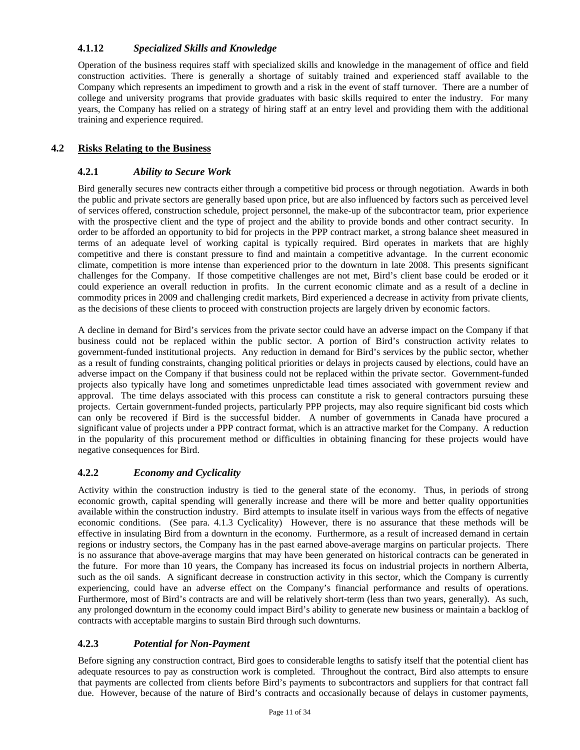## **4.1.12** *Specialized Skills and Knowledge*

Operation of the business requires staff with specialized skills and knowledge in the management of office and field construction activities. There is generally a shortage of suitably trained and experienced staff available to the Company which represents an impediment to growth and a risk in the event of staff turnover. There are a number of college and university programs that provide graduates with basic skills required to enter the industry. For many years, the Company has relied on a strategy of hiring staff at an entry level and providing them with the additional training and experience required.

## **4.2 Risks Relating to the Business**

## **4.2.1** *Ability to Secure Work*

Bird generally secures new contracts either through a competitive bid process or through negotiation. Awards in both the public and private sectors are generally based upon price, but are also influenced by factors such as perceived level of services offered, construction schedule, project personnel, the make-up of the subcontractor team, prior experience with the prospective client and the type of project and the ability to provide bonds and other contract security. In order to be afforded an opportunity to bid for projects in the PPP contract market, a strong balance sheet measured in terms of an adequate level of working capital is typically required. Bird operates in markets that are highly competitive and there is constant pressure to find and maintain a competitive advantage. In the current economic climate, competition is more intense than experienced prior to the downturn in late 2008. This presents significant challenges for the Company. If those competitive challenges are not met, Bird's client base could be eroded or it could experience an overall reduction in profits. In the current economic climate and as a result of a decline in commodity prices in 2009 and challenging credit markets, Bird experienced a decrease in activity from private clients, as the decisions of these clients to proceed with construction projects are largely driven by economic factors.

A decline in demand for Bird's services from the private sector could have an adverse impact on the Company if that business could not be replaced within the public sector. A portion of Bird's construction activity relates to government-funded institutional projects. Any reduction in demand for Bird's services by the public sector, whether as a result of funding constraints, changing political priorities or delays in projects caused by elections, could have an adverse impact on the Company if that business could not be replaced within the private sector. Government-funded projects also typically have long and sometimes unpredictable lead times associated with government review and approval. The time delays associated with this process can constitute a risk to general contractors pursuing these projects. Certain government-funded projects, particularly PPP projects, may also require significant bid costs which can only be recovered if Bird is the successful bidder. A number of governments in Canada have procured a significant value of projects under a PPP contract format, which is an attractive market for the Company. A reduction in the popularity of this procurement method or difficulties in obtaining financing for these projects would have negative consequences for Bird.

## **4.2.2** *Economy and Cyclicality*

Activity within the construction industry is tied to the general state of the economy. Thus, in periods of strong economic growth, capital spending will generally increase and there will be more and better quality opportunities available within the construction industry. Bird attempts to insulate itself in various ways from the effects of negative economic conditions. (See para. 4.1.3 Cyclicality) However, there is no assurance that these methods will be effective in insulating Bird from a downturn in the economy. Furthermore, as a result of increased demand in certain regions or industry sectors, the Company has in the past earned above-average margins on particular projects. There is no assurance that above-average margins that may have been generated on historical contracts can be generated in the future. For more than 10 years, the Company has increased its focus on industrial projects in northern Alberta, such as the oil sands. A significant decrease in construction activity in this sector, which the Company is currently experiencing, could have an adverse effect on the Company's financial performance and results of operations. Furthermore, most of Bird's contracts are and will be relatively short-term (less than two years, generally). As such, any prolonged downturn in the economy could impact Bird's ability to generate new business or maintain a backlog of contracts with acceptable margins to sustain Bird through such downturns.

## **4.2.3** *Potential for Non-Payment*

Before signing any construction contract, Bird goes to considerable lengths to satisfy itself that the potential client has adequate resources to pay as construction work is completed. Throughout the contract, Bird also attempts to ensure that payments are collected from clients before Bird's payments to subcontractors and suppliers for that contract fall due. However, because of the nature of Bird's contracts and occasionally because of delays in customer payments,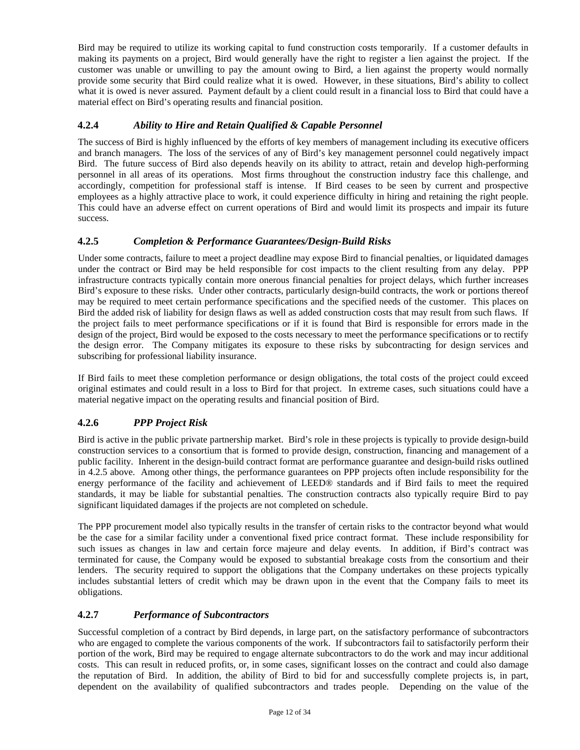Bird may be required to utilize its working capital to fund construction costs temporarily. If a customer defaults in making its payments on a project, Bird would generally have the right to register a lien against the project. If the customer was unable or unwilling to pay the amount owing to Bird, a lien against the property would normally provide some security that Bird could realize what it is owed. However, in these situations, Bird's ability to collect what it is owed is never assured. Payment default by a client could result in a financial loss to Bird that could have a material effect on Bird's operating results and financial position.

## **4.2.4** *Ability to Hire and Retain Qualified & Capable Personnel*

The success of Bird is highly influenced by the efforts of key members of management including its executive officers and branch managers. The loss of the services of any of Bird's key management personnel could negatively impact Bird. The future success of Bird also depends heavily on its ability to attract, retain and develop high-performing personnel in all areas of its operations. Most firms throughout the construction industry face this challenge, and accordingly, competition for professional staff is intense. If Bird ceases to be seen by current and prospective employees as a highly attractive place to work, it could experience difficulty in hiring and retaining the right people. This could have an adverse effect on current operations of Bird and would limit its prospects and impair its future success.

## **4.2.5** *Completion & Performance Guarantees/Design-Build Risks*

Under some contracts, failure to meet a project deadline may expose Bird to financial penalties, or liquidated damages under the contract or Bird may be held responsible for cost impacts to the client resulting from any delay. PPP infrastructure contracts typically contain more onerous financial penalties for project delays, which further increases Bird's exposure to these risks. Under other contracts, particularly design-build contracts, the work or portions thereof may be required to meet certain performance specifications and the specified needs of the customer. This places on Bird the added risk of liability for design flaws as well as added construction costs that may result from such flaws. If the project fails to meet performance specifications or if it is found that Bird is responsible for errors made in the design of the project, Bird would be exposed to the costs necessary to meet the performance specifications or to rectify the design error. The Company mitigates its exposure to these risks by subcontracting for design services and subscribing for professional liability insurance.

If Bird fails to meet these completion performance or design obligations, the total costs of the project could exceed original estimates and could result in a loss to Bird for that project. In extreme cases, such situations could have a material negative impact on the operating results and financial position of Bird.

# **4.2.6** *PPP Project Risk*

Bird is active in the public private partnership market. Bird's role in these projects is typically to provide design-build construction services to a consortium that is formed to provide design, construction, financing and management of a public facility. Inherent in the design-build contract format are performance guarantee and design-build risks outlined in 4.2.5 above. Among other things, the performance guarantees on PPP projects often include responsibility for the energy performance of the facility and achievement of LEED® standards and if Bird fails to meet the required standards, it may be liable for substantial penalties. The construction contracts also typically require Bird to pay significant liquidated damages if the projects are not completed on schedule.

The PPP procurement model also typically results in the transfer of certain risks to the contractor beyond what would be the case for a similar facility under a conventional fixed price contract format. These include responsibility for such issues as changes in law and certain force majeure and delay events. In addition, if Bird's contract was terminated for cause, the Company would be exposed to substantial breakage costs from the consortium and their lenders. The security required to support the obligations that the Company undertakes on these projects typically includes substantial letters of credit which may be drawn upon in the event that the Company fails to meet its obligations.

## **4.2.7** *Performance of Subcontractors*

Successful completion of a contract by Bird depends, in large part, on the satisfactory performance of subcontractors who are engaged to complete the various components of the work. If subcontractors fail to satisfactorily perform their portion of the work, Bird may be required to engage alternate subcontractors to do the work and may incur additional costs. This can result in reduced profits, or, in some cases, significant losses on the contract and could also damage the reputation of Bird. In addition, the ability of Bird to bid for and successfully complete projects is, in part, dependent on the availability of qualified subcontractors and trades people. Depending on the value of the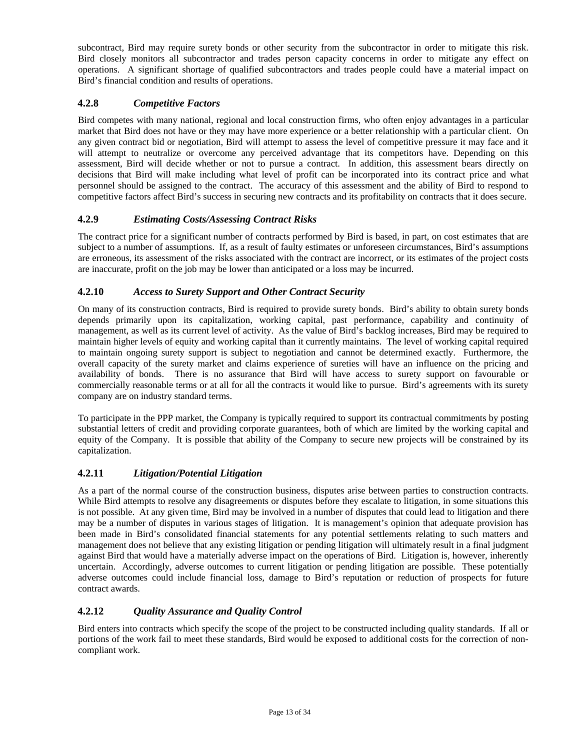subcontract, Bird may require surety bonds or other security from the subcontractor in order to mitigate this risk. Bird closely monitors all subcontractor and trades person capacity concerns in order to mitigate any effect on operations. A significant shortage of qualified subcontractors and trades people could have a material impact on Bird's financial condition and results of operations.

## **4.2.8** *Competitive Factors*

Bird competes with many national, regional and local construction firms, who often enjoy advantages in a particular market that Bird does not have or they may have more experience or a better relationship with a particular client. On any given contract bid or negotiation, Bird will attempt to assess the level of competitive pressure it may face and it will attempt to neutralize or overcome any perceived advantage that its competitors have. Depending on this assessment, Bird will decide whether or not to pursue a contract. In addition, this assessment bears directly on decisions that Bird will make including what level of profit can be incorporated into its contract price and what personnel should be assigned to the contract. The accuracy of this assessment and the ability of Bird to respond to competitive factors affect Bird's success in securing new contracts and its profitability on contracts that it does secure.

## **4.2.9** *Estimating Costs/Assessing Contract Risks*

The contract price for a significant number of contracts performed by Bird is based, in part, on cost estimates that are subject to a number of assumptions. If, as a result of faulty estimates or unforeseen circumstances, Bird's assumptions are erroneous, its assessment of the risks associated with the contract are incorrect, or its estimates of the project costs are inaccurate, profit on the job may be lower than anticipated or a loss may be incurred.

## **4.2.10** *Access to Surety Support and Other Contract Security*

On many of its construction contracts, Bird is required to provide surety bonds. Bird's ability to obtain surety bonds depends primarily upon its capitalization, working capital, past performance, capability and continuity of management, as well as its current level of activity. As the value of Bird's backlog increases, Bird may be required to maintain higher levels of equity and working capital than it currently maintains. The level of working capital required to maintain ongoing surety support is subject to negotiation and cannot be determined exactly. Furthermore, the overall capacity of the surety market and claims experience of sureties will have an influence on the pricing and availability of bonds. There is no assurance that Bird will have access to surety support on favourable or commercially reasonable terms or at all for all the contracts it would like to pursue. Bird's agreements with its surety company are on industry standard terms.

To participate in the PPP market, the Company is typically required to support its contractual commitments by posting substantial letters of credit and providing corporate guarantees, both of which are limited by the working capital and equity of the Company. It is possible that ability of the Company to secure new projects will be constrained by its capitalization.

# **4.2.11** *Litigation/Potential Litigation*

As a part of the normal course of the construction business, disputes arise between parties to construction contracts. While Bird attempts to resolve any disagreements or disputes before they escalate to litigation, in some situations this is not possible. At any given time, Bird may be involved in a number of disputes that could lead to litigation and there may be a number of disputes in various stages of litigation. It is management's opinion that adequate provision has been made in Bird's consolidated financial statements for any potential settlements relating to such matters and management does not believe that any existing litigation or pending litigation will ultimately result in a final judgment against Bird that would have a materially adverse impact on the operations of Bird. Litigation is, however, inherently uncertain. Accordingly, adverse outcomes to current litigation or pending litigation are possible. These potentially adverse outcomes could include financial loss, damage to Bird's reputation or reduction of prospects for future contract awards.

## **4.2.12** *Quality Assurance and Quality Control*

Bird enters into contracts which specify the scope of the project to be constructed including quality standards. If all or portions of the work fail to meet these standards, Bird would be exposed to additional costs for the correction of noncompliant work.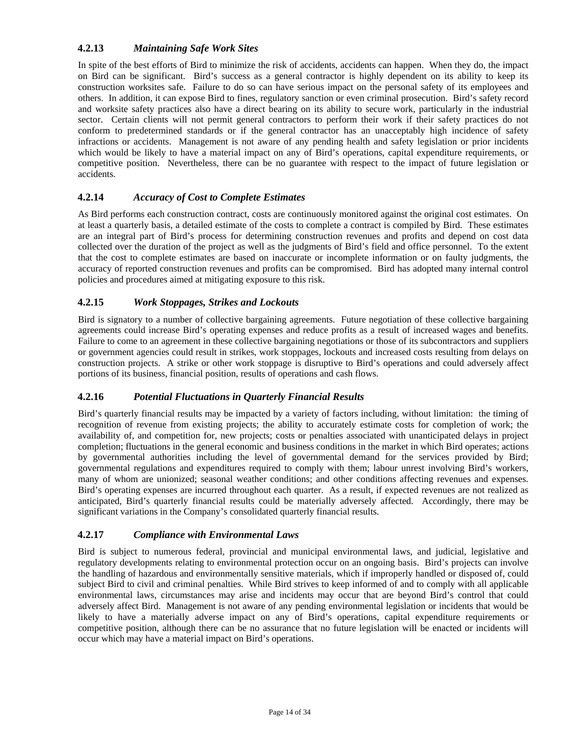## **4.2.13** *Maintaining Safe Work Sites*

In spite of the best efforts of Bird to minimize the risk of accidents, accidents can happen. When they do, the impact on Bird can be significant. Bird's success as a general contractor is highly dependent on its ability to keep its construction worksites safe. Failure to do so can have serious impact on the personal safety of its employees and others. In addition, it can expose Bird to fines, regulatory sanction or even criminal prosecution. Bird's safety record and worksite safety practices also have a direct bearing on its ability to secure work, particularly in the industrial sector. Certain clients will not permit general contractors to perform their work if their safety practices do not conform to predetermined standards or if the general contractor has an unacceptably high incidence of safety infractions or accidents. Management is not aware of any pending health and safety legislation or prior incidents which would be likely to have a material impact on any of Bird's operations, capital expenditure requirements, or competitive position. Nevertheless, there can be no guarantee with respect to the impact of future legislation or accidents.

## **4.2.14** *Accuracy of Cost to Complete Estimates*

As Bird performs each construction contract, costs are continuously monitored against the original cost estimates. On at least a quarterly basis, a detailed estimate of the costs to complete a contract is compiled by Bird. These estimates are an integral part of Bird's process for determining construction revenues and profits and depend on cost data collected over the duration of the project as well as the judgments of Bird's field and office personnel. To the extent that the cost to complete estimates are based on inaccurate or incomplete information or on faulty judgments, the accuracy of reported construction revenues and profits can be compromised. Bird has adopted many internal control policies and procedures aimed at mitigating exposure to this risk.

## **4.2.15** *Work Stoppages, Strikes and Lockouts*

Bird is signatory to a number of collective bargaining agreements. Future negotiation of these collective bargaining agreements could increase Bird's operating expenses and reduce profits as a result of increased wages and benefits. Failure to come to an agreement in these collective bargaining negotiations or those of its subcontractors and suppliers or government agencies could result in strikes, work stoppages, lockouts and increased costs resulting from delays on construction projects. A strike or other work stoppage is disruptive to Bird's operations and could adversely affect portions of its business, financial position, results of operations and cash flows.

## **4.2.16** *Potential Fluctuations in Quarterly Financial Results*

Bird's quarterly financial results may be impacted by a variety of factors including, without limitation: the timing of recognition of revenue from existing projects; the ability to accurately estimate costs for completion of work; the availability of, and competition for, new projects; costs or penalties associated with unanticipated delays in project completion; fluctuations in the general economic and business conditions in the market in which Bird operates; actions by governmental authorities including the level of governmental demand for the services provided by Bird; governmental regulations and expenditures required to comply with them; labour unrest involving Bird's workers, many of whom are unionized; seasonal weather conditions; and other conditions affecting revenues and expenses. Bird's operating expenses are incurred throughout each quarter. As a result, if expected revenues are not realized as anticipated, Bird's quarterly financial results could be materially adversely affected. Accordingly, there may be significant variations in the Company's consolidated quarterly financial results.

## **4.2.17** *Compliance with Environmental Laws*

Bird is subject to numerous federal, provincial and municipal environmental laws, and judicial, legislative and regulatory developments relating to environmental protection occur on an ongoing basis. Bird's projects can involve the handling of hazardous and environmentally sensitive materials, which if improperly handled or disposed of, could subject Bird to civil and criminal penalties. While Bird strives to keep informed of and to comply with all applicable environmental laws, circumstances may arise and incidents may occur that are beyond Bird's control that could adversely affect Bird. Management is not aware of any pending environmental legislation or incidents that would be likely to have a materially adverse impact on any of Bird's operations, capital expenditure requirements or competitive position, although there can be no assurance that no future legislation will be enacted or incidents will occur which may have a material impact on Bird's operations.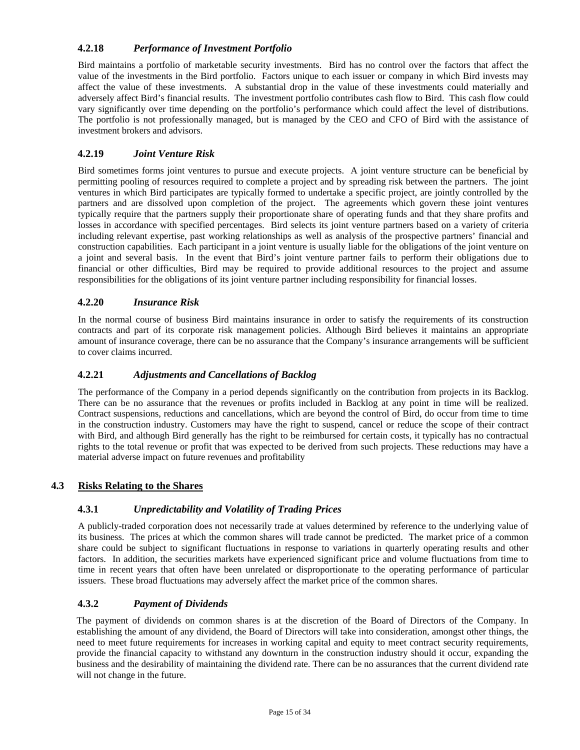## **4.2.18** *Performance of Investment Portfolio*

Bird maintains a portfolio of marketable security investments. Bird has no control over the factors that affect the value of the investments in the Bird portfolio. Factors unique to each issuer or company in which Bird invests may affect the value of these investments. A substantial drop in the value of these investments could materially and adversely affect Bird's financial results. The investment portfolio contributes cash flow to Bird. This cash flow could vary significantly over time depending on the portfolio's performance which could affect the level of distributions. The portfolio is not professionally managed, but is managed by the CEO and CFO of Bird with the assistance of investment brokers and advisors.

## **4.2.19** *Joint Venture Risk*

Bird sometimes forms joint ventures to pursue and execute projects. A joint venture structure can be beneficial by permitting pooling of resources required to complete a project and by spreading risk between the partners. The joint ventures in which Bird participates are typically formed to undertake a specific project, are jointly controlled by the partners and are dissolved upon completion of the project. The agreements which govern these joint ventures typically require that the partners supply their proportionate share of operating funds and that they share profits and losses in accordance with specified percentages. Bird selects its joint venture partners based on a variety of criteria including relevant expertise, past working relationships as well as analysis of the prospective partners' financial and construction capabilities. Each participant in a joint venture is usually liable for the obligations of the joint venture on a joint and several basis. In the event that Bird's joint venture partner fails to perform their obligations due to financial or other difficulties, Bird may be required to provide additional resources to the project and assume responsibilities for the obligations of its joint venture partner including responsibility for financial losses.

## **4.2.20** *Insurance Risk*

In the normal course of business Bird maintains insurance in order to satisfy the requirements of its construction contracts and part of its corporate risk management policies. Although Bird believes it maintains an appropriate amount of insurance coverage, there can be no assurance that the Company's insurance arrangements will be sufficient to cover claims incurred.

## **4.2.21** *Adjustments and Cancellations of Backlog*

The performance of the Company in a period depends significantly on the contribution from projects in its Backlog. There can be no assurance that the revenues or profits included in Backlog at any point in time will be realized. Contract suspensions, reductions and cancellations, which are beyond the control of Bird, do occur from time to time in the construction industry. Customers may have the right to suspend, cancel or reduce the scope of their contract with Bird, and although Bird generally has the right to be reimbursed for certain costs, it typically has no contractual rights to the total revenue or profit that was expected to be derived from such projects. These reductions may have a material adverse impact on future revenues and profitability

## **4.3 Risks Relating to the Shares**

## **4.3.1** *Unpredictability and Volatility of Trading Prices*

A publicly-traded corporation does not necessarily trade at values determined by reference to the underlying value of its business. The prices at which the common shares will trade cannot be predicted. The market price of a common share could be subject to significant fluctuations in response to variations in quarterly operating results and other factors. In addition, the securities markets have experienced significant price and volume fluctuations from time to time in recent years that often have been unrelated or disproportionate to the operating performance of particular issuers. These broad fluctuations may adversely affect the market price of the common shares.

## **4.3.2** *Payment of Dividends*

The payment of dividends on common shares is at the discretion of the Board of Directors of the Company. In establishing the amount of any dividend, the Board of Directors will take into consideration, amongst other things, the need to meet future requirements for increases in working capital and equity to meet contract security requirements, provide the financial capacity to withstand any downturn in the construction industry should it occur, expanding the business and the desirability of maintaining the dividend rate. There can be no assurances that the current dividend rate will not change in the future.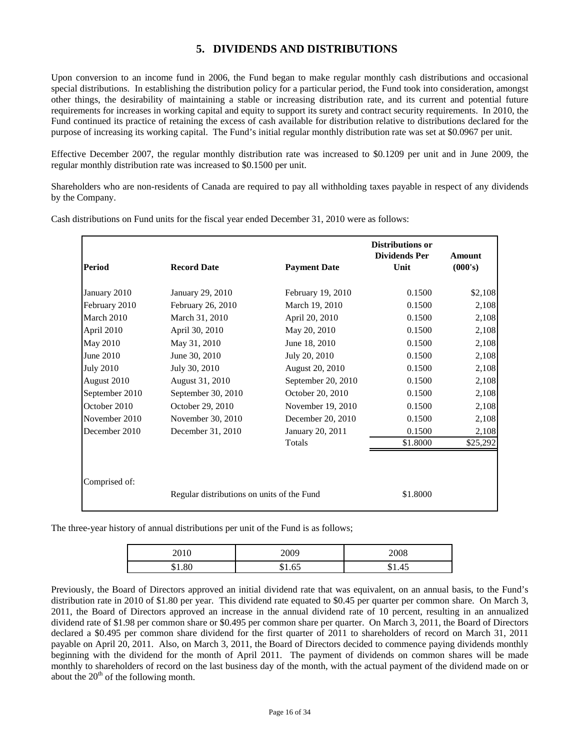# **5. DIVIDENDS AND DISTRIBUTIONS**

Upon conversion to an income fund in 2006, the Fund began to make regular monthly cash distributions and occasional special distributions. In establishing the distribution policy for a particular period, the Fund took into consideration, amongst other things, the desirability of maintaining a stable or increasing distribution rate, and its current and potential future requirements for increases in working capital and equity to support its surety and contract security requirements. In 2010, the Fund continued its practice of retaining the excess of cash available for distribution relative to distributions declared for the purpose of increasing its working capital. The Fund's initial regular monthly distribution rate was set at \$0.0967 per unit.

Effective December 2007, the regular monthly distribution rate was increased to \$0.1209 per unit and in June 2009, the regular monthly distribution rate was increased to \$0.1500 per unit.

Shareholders who are non-residents of Canada are required to pay all withholding taxes payable in respect of any dividends by the Company.

Cash distributions on Fund units for the fiscal year ended December 31, 2010 were as follows:

| <b>Period</b>    | <b>Record Date</b>                         | <b>Payment Date</b> | <b>Distributions or</b><br><b>Dividends Per</b><br>Unit | <b>Amount</b><br>(000's) |
|------------------|--------------------------------------------|---------------------|---------------------------------------------------------|--------------------------|
|                  |                                            |                     |                                                         |                          |
| January 2010     | January 29, 2010                           | February 19, 2010   | 0.1500                                                  | \$2,108                  |
| February 2010    | February 26, 2010                          | March 19, 2010      | 0.1500                                                  | 2,108                    |
| March 2010       | March 31, 2010                             | April 20, 2010      | 0.1500                                                  | 2,108                    |
| April 2010       | April 30, 2010                             | May 20, 2010        | 0.1500                                                  | 2,108                    |
| <b>May 2010</b>  | May 31, 2010                               | June 18, 2010       | 0.1500                                                  | 2,108                    |
| June 2010        | June 30, 2010                              | July 20, 2010       | 0.1500                                                  | 2,108                    |
| <b>July 2010</b> | July 30, 2010                              | August 20, 2010     | 0.1500                                                  | 2,108                    |
| August 2010      | August 31, 2010                            | September 20, 2010  | 0.1500                                                  | 2,108                    |
| September 2010   | September 30, 2010                         | October 20, 2010    | 0.1500                                                  | 2,108                    |
| October 2010     | October 29, 2010                           | November 19, 2010   | 0.1500                                                  | 2,108                    |
| November 2010    | November 30, 2010                          | December 20, 2010   | 0.1500                                                  | 2,108                    |
| December 2010    | December 31, 2010                          | January 20, 2011    | 0.1500                                                  | 2,108                    |
|                  |                                            | Totals              | \$1.8000                                                | \$25,292                 |
|                  |                                            |                     |                                                         |                          |
|                  |                                            |                     |                                                         |                          |
| Comprised of:    |                                            |                     |                                                         |                          |
|                  | Regular distributions on units of the Fund |                     | \$1.8000                                                |                          |

The three-year history of annual distributions per unit of the Fund is as follows;

| 2010 | 2009 | 2008 |
|------|------|------|
|      |      | ,,   |

Previously, the Board of Directors approved an initial dividend rate that was equivalent, on an annual basis, to the Fund's distribution rate in 2010 of \$1.80 per year. This dividend rate equated to \$0.45 per quarter per common share. On March 3, 2011, the Board of Directors approved an increase in the annual dividend rate of 10 percent, resulting in an annualized dividend rate of \$1.98 per common share or \$0.495 per common share per quarter. On March 3, 2011, the Board of Directors declared a \$0.495 per common share dividend for the first quarter of 2011 to shareholders of record on March 31, 2011 payable on April 20, 2011. Also, on March 3, 2011, the Board of Directors decided to commence paying dividends monthly beginning with the dividend for the month of April 2011. The payment of dividends on common shares will be made monthly to shareholders of record on the last business day of the month, with the actual payment of the dividend made on or about the  $20<sup>th</sup>$  of the following month.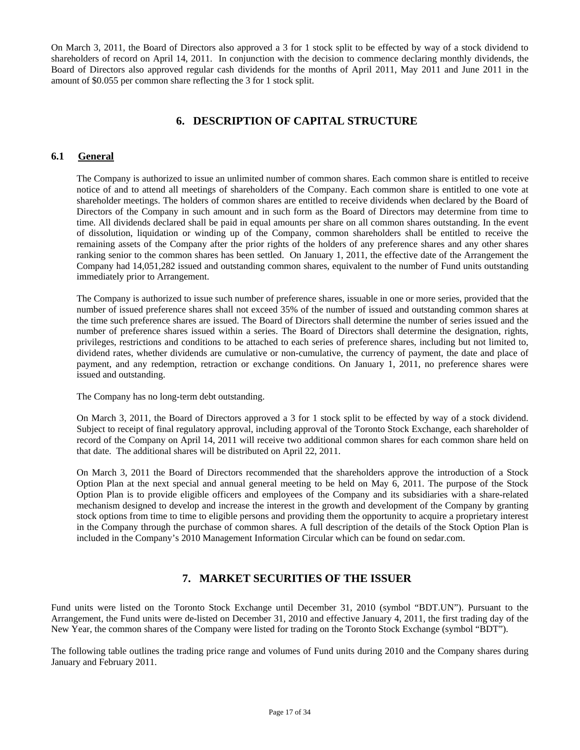On March 3, 2011, the Board of Directors also approved a 3 for 1 stock split to be effected by way of a stock dividend to shareholders of record on April 14, 2011. In conjunction with the decision to commence declaring monthly dividends, the Board of Directors also approved regular cash dividends for the months of April 2011, May 2011 and June 2011 in the amount of \$0.055 per common share reflecting the 3 for 1 stock split.

# **6. DESCRIPTION OF CAPITAL STRUCTURE**

## **6.1 General**

The Company is authorized to issue an unlimited number of common shares. Each common share is entitled to receive notice of and to attend all meetings of shareholders of the Company. Each common share is entitled to one vote at shareholder meetings. The holders of common shares are entitled to receive dividends when declared by the Board of Directors of the Company in such amount and in such form as the Board of Directors may determine from time to time. All dividends declared shall be paid in equal amounts per share on all common shares outstanding. In the event of dissolution, liquidation or winding up of the Company, common shareholders shall be entitled to receive the remaining assets of the Company after the prior rights of the holders of any preference shares and any other shares ranking senior to the common shares has been settled. On January 1, 2011, the effective date of the Arrangement the Company had 14,051,282 issued and outstanding common shares, equivalent to the number of Fund units outstanding immediately prior to Arrangement.

The Company is authorized to issue such number of preference shares, issuable in one or more series, provided that the number of issued preference shares shall not exceed 35% of the number of issued and outstanding common shares at the time such preference shares are issued. The Board of Directors shall determine the number of series issued and the number of preference shares issued within a series. The Board of Directors shall determine the designation, rights, privileges, restrictions and conditions to be attached to each series of preference shares, including but not limited to, dividend rates, whether dividends are cumulative or non-cumulative, the currency of payment, the date and place of payment, and any redemption, retraction or exchange conditions. On January 1, 2011, no preference shares were issued and outstanding.

The Company has no long-term debt outstanding.

On March 3, 2011, the Board of Directors approved a 3 for 1 stock split to be effected by way of a stock dividend. Subject to receipt of final regulatory approval, including approval of the Toronto Stock Exchange, each shareholder of record of the Company on April 14, 2011 will receive two additional common shares for each common share held on that date. The additional shares will be distributed on April 22, 2011.

On March 3, 2011 the Board of Directors recommended that the shareholders approve the introduction of a Stock Option Plan at the next special and annual general meeting to be held on May 6, 2011. The purpose of the Stock Option Plan is to provide eligible officers and employees of the Company and its subsidiaries with a share-related mechanism designed to develop and increase the interest in the growth and development of the Company by granting stock options from time to time to eligible persons and providing them the opportunity to acquire a proprietary interest in the Company through the purchase of common shares. A full description of the details of the Stock Option Plan is included in the Company's 2010 Management Information Circular which can be found on sedar.com.

# **7. MARKET SECURITIES OF THE ISSUER**

Fund units were listed on the Toronto Stock Exchange until December 31, 2010 (symbol "BDT.UN"). Pursuant to the Arrangement, the Fund units were de-listed on December 31, 2010 and effective January 4, 2011, the first trading day of the New Year, the common shares of the Company were listed for trading on the Toronto Stock Exchange (symbol "BDT").

The following table outlines the trading price range and volumes of Fund units during 2010 and the Company shares during January and February 2011.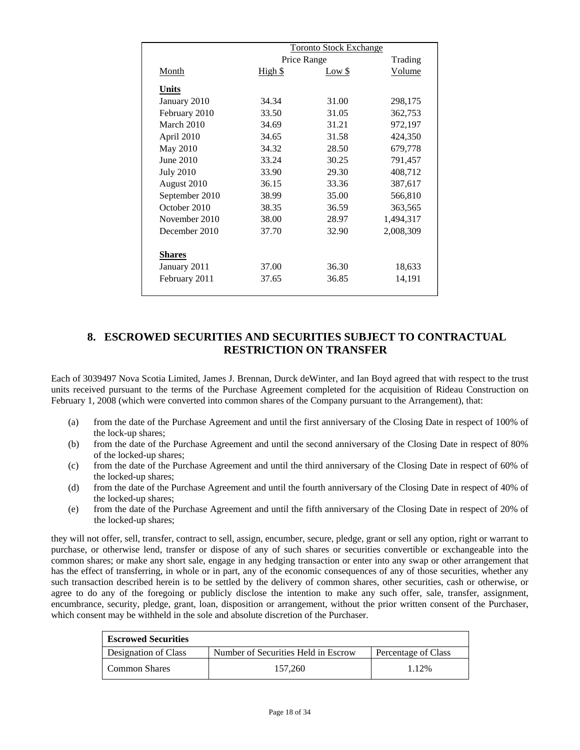|                  | <b>Toronto Stock Exchange</b> |        |               |
|------------------|-------------------------------|--------|---------------|
|                  | Price Range                   |        | Trading       |
| Month            | <u>High \$</u>                | Low \$ | <b>Volume</b> |
| Units            |                               |        |               |
| January 2010     | 34.34                         | 31.00  | 298,175       |
| February 2010    | 33.50                         | 31.05  | 362,753       |
| March 2010       | 34.69                         | 31.21  | 972,197       |
| April 2010       | 34.65                         | 31.58  | 424,350       |
| May 2010         | 34.32                         | 28.50  | 679,778       |
| June 2010        | 33.24                         | 30.25  | 791,457       |
| <b>July 2010</b> | 33.90                         | 29.30  | 408,712       |
| August 2010      | 36.15                         | 33.36  | 387,617       |
| September 2010   | 38.99                         | 35.00  | 566,810       |
| October 2010     | 38.35                         | 36.59  | 363,565       |
| November 2010    | 38.00                         | 28.97  | 1,494,317     |
| December 2010    | 37.70                         | 32.90  | 2,008,309     |
| <b>Shares</b>    |                               |        |               |
| January 2011     | 37.00                         | 36.30  | 18,633        |
| February 2011    | 37.65                         | 36.85  | 14,191        |
|                  |                               |        |               |

# **8. ESCROWED SECURITIES AND SECURITIES SUBJECT TO CONTRACTUAL RESTRICTION ON TRANSFER**

Each of 3039497 Nova Scotia Limited, James J. Brennan, Durck deWinter, and Ian Boyd agreed that with respect to the trust units received pursuant to the terms of the Purchase Agreement completed for the acquisition of Rideau Construction on February 1, 2008 (which were converted into common shares of the Company pursuant to the Arrangement), that:

- (a) from the date of the Purchase Agreement and until the first anniversary of the Closing Date in respect of 100% of the lock-up shares;
- (b) from the date of the Purchase Agreement and until the second anniversary of the Closing Date in respect of 80% of the locked-up shares;
- (c) from the date of the Purchase Agreement and until the third anniversary of the Closing Date in respect of 60% of the locked-up shares;
- (d) from the date of the Purchase Agreement and until the fourth anniversary of the Closing Date in respect of 40% of the locked-up shares;
- (e) from the date of the Purchase Agreement and until the fifth anniversary of the Closing Date in respect of 20% of the locked-up shares;

they will not offer, sell, transfer, contract to sell, assign, encumber, secure, pledge, grant or sell any option, right or warrant to purchase, or otherwise lend, transfer or dispose of any of such shares or securities convertible or exchangeable into the common shares; or make any short sale, engage in any hedging transaction or enter into any swap or other arrangement that has the effect of transferring, in whole or in part, any of the economic consequences of any of those securities, whether any such transaction described herein is to be settled by the delivery of common shares, other securities, cash or otherwise, or agree to do any of the foregoing or publicly disclose the intention to make any such offer, sale, transfer, assignment, encumbrance, security, pledge, grant, loan, disposition or arrangement, without the prior written consent of the Purchaser, which consent may be withheld in the sole and absolute discretion of the Purchaser.

| <b>Escrowed Securities</b> |                                     |                     |  |
|----------------------------|-------------------------------------|---------------------|--|
| Designation of Class       | Number of Securities Held in Escrow | Percentage of Class |  |
| Common Shares              | 157,260                             | 1.12%               |  |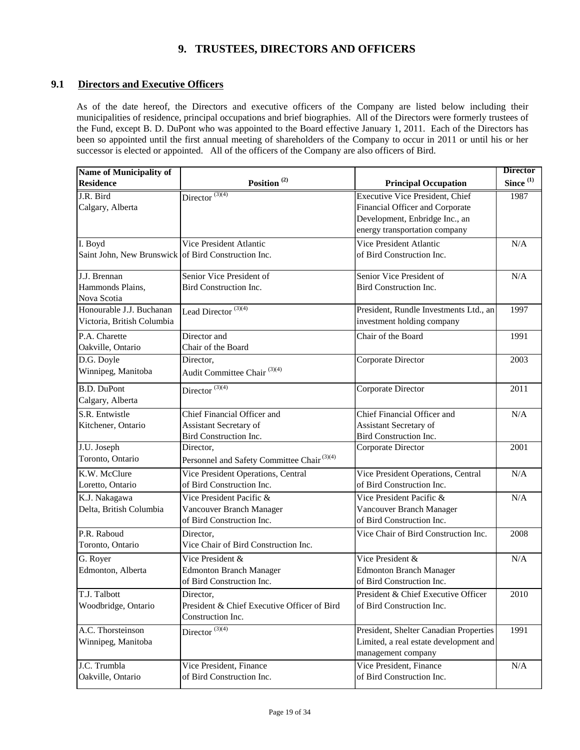# **9. TRUSTEES, DIRECTORS AND OFFICERS**

## **9.1 Directors and Executive Officers**

As of the date hereof, the Directors and executive officers of the Company are listed below including their municipalities of residence, principal occupations and brief biographies. All of the Directors were formerly trustees of the Fund, except B. D. DuPont who was appointed to the Board effective January 1, 2011. Each of the Directors has been so appointed until the first annual meeting of shareholders of the Company to occur in 2011 or until his or her successor is elected or appointed. All of the officers of the Company are also officers of Bird.

| Since $^{(1)}$<br>Position <sup>(2)</sup><br><b>Residence</b><br><b>Principal Occupation</b><br>Director $\overline{^{(3)(4)}}$<br><b>Executive Vice President, Chief</b><br>J.R. Bird<br>1987<br>Calgary, Alberta<br>Financial Officer and Corporate<br>Development, Enbridge Inc., an<br>energy transportation company<br>Vice President Atlantic<br>Vice President Atlantic<br>I. Boyd<br>N/A<br>Saint John, New Brunswick of Bird Construction Inc.<br>of Bird Construction Inc.<br>J.J. Brennan<br>Senior Vice President of<br>Senior Vice President of<br>N/A<br>Hammonds Plains,<br>Bird Construction Inc.<br>Bird Construction Inc.<br>Nova Scotia<br>Honourable J.J. Buchanan<br>1997<br>Lead Director <sup>(3)(4)</sup><br>President, Rundle Investments Ltd., an<br>investment holding company<br>Victoria, British Columbia<br>P.A. Charette<br>Director and<br>Chair of the Board<br>1991<br>Chair of the Board<br>Oakville, Ontario<br>Corporate Director<br>D.G. Doyle<br>2003<br>Director,<br>Audit Committee Chair <sup>(3)(4)</sup><br>Winnipeg, Manitoba<br><b>B.D.</b> DuPont<br>Director $(3)(4)$<br>Corporate Director<br>2011<br>Calgary, Alberta<br>S.R. Entwistle<br>Chief Financial Officer and<br>Chief Financial Officer and<br>N/A<br>Assistant Secretary of<br>Assistant Secretary of<br>Kitchener, Ontario<br>Bird Construction Inc.<br>Bird Construction Inc.<br>J.U. Joseph<br>Director,<br>Corporate Director<br>2001<br>Toronto, Ontario<br>Personnel and Safety Committee Chair <sup>(3)(4)</sup><br>K.W. McClure<br>Vice President Operations, Central<br>Vice President Operations, Central<br>N/A<br>of Bird Construction Inc.<br>of Bird Construction Inc.<br>Loretto, Ontario<br>Vice President Pacific &<br>Vice President Pacific &<br>K.J. Nakagawa<br>N/A<br>Delta, British Columbia<br>Vancouver Branch Manager<br>Vancouver Branch Manager<br>of Bird Construction Inc.<br>of Bird Construction Inc.<br>P.R. Raboud<br>Vice Chair of Bird Construction Inc.<br>Director.<br>2008<br>Vice Chair of Bird Construction Inc.<br>Toronto, Ontario<br>Vice President &<br>G. Royer<br>Vice President &<br>N/A<br><b>Edmonton Branch Manager</b><br><b>Edmonton Branch Manager</b><br>Edmonton, Alberta<br>of Bird Construction Inc.<br>of Bird Construction Inc.<br>T.J. Talbott<br>Director,<br>President & Chief Executive Officer<br>2010<br>President & Chief Executive Officer of Bird<br>Woodbridge, Ontario<br>of Bird Construction Inc.<br>Construction Inc.<br>Director $\overline{^{(3)(4)}}$<br>A.C. Thorsteinson<br>1991<br>President, Shelter Canadian Properties<br>Limited, a real estate development and<br>Winnipeg, Manitoba<br>management company<br>Vice President, Finance<br>J.C. Trumbla<br>Vice President, Finance<br>N/A<br>of Bird Construction Inc.<br>of Bird Construction Inc.<br>Oakville, Ontario | <b>Name of Municipality of</b> |  | <b>Director</b> |
|---------------------------------------------------------------------------------------------------------------------------------------------------------------------------------------------------------------------------------------------------------------------------------------------------------------------------------------------------------------------------------------------------------------------------------------------------------------------------------------------------------------------------------------------------------------------------------------------------------------------------------------------------------------------------------------------------------------------------------------------------------------------------------------------------------------------------------------------------------------------------------------------------------------------------------------------------------------------------------------------------------------------------------------------------------------------------------------------------------------------------------------------------------------------------------------------------------------------------------------------------------------------------------------------------------------------------------------------------------------------------------------------------------------------------------------------------------------------------------------------------------------------------------------------------------------------------------------------------------------------------------------------------------------------------------------------------------------------------------------------------------------------------------------------------------------------------------------------------------------------------------------------------------------------------------------------------------------------------------------------------------------------------------------------------------------------------------------------------------------------------------------------------------------------------------------------------------------------------------------------------------------------------------------------------------------------------------------------------------------------------------------------------------------------------------------------------------------------------------------------------------------------------------------------------------------------------------------------------------------------------------------------------------------------------------------------------------------------------------------------------------------------------------------------------------------------------------------------------------------------------|--------------------------------|--|-----------------|
|                                                                                                                                                                                                                                                                                                                                                                                                                                                                                                                                                                                                                                                                                                                                                                                                                                                                                                                                                                                                                                                                                                                                                                                                                                                                                                                                                                                                                                                                                                                                                                                                                                                                                                                                                                                                                                                                                                                                                                                                                                                                                                                                                                                                                                                                                                                                                                                                                                                                                                                                                                                                                                                                                                                                                                                                                                                                           |                                |  |                 |
|                                                                                                                                                                                                                                                                                                                                                                                                                                                                                                                                                                                                                                                                                                                                                                                                                                                                                                                                                                                                                                                                                                                                                                                                                                                                                                                                                                                                                                                                                                                                                                                                                                                                                                                                                                                                                                                                                                                                                                                                                                                                                                                                                                                                                                                                                                                                                                                                                                                                                                                                                                                                                                                                                                                                                                                                                                                                           |                                |  |                 |
|                                                                                                                                                                                                                                                                                                                                                                                                                                                                                                                                                                                                                                                                                                                                                                                                                                                                                                                                                                                                                                                                                                                                                                                                                                                                                                                                                                                                                                                                                                                                                                                                                                                                                                                                                                                                                                                                                                                                                                                                                                                                                                                                                                                                                                                                                                                                                                                                                                                                                                                                                                                                                                                                                                                                                                                                                                                                           |                                |  |                 |
|                                                                                                                                                                                                                                                                                                                                                                                                                                                                                                                                                                                                                                                                                                                                                                                                                                                                                                                                                                                                                                                                                                                                                                                                                                                                                                                                                                                                                                                                                                                                                                                                                                                                                                                                                                                                                                                                                                                                                                                                                                                                                                                                                                                                                                                                                                                                                                                                                                                                                                                                                                                                                                                                                                                                                                                                                                                                           |                                |  |                 |
|                                                                                                                                                                                                                                                                                                                                                                                                                                                                                                                                                                                                                                                                                                                                                                                                                                                                                                                                                                                                                                                                                                                                                                                                                                                                                                                                                                                                                                                                                                                                                                                                                                                                                                                                                                                                                                                                                                                                                                                                                                                                                                                                                                                                                                                                                                                                                                                                                                                                                                                                                                                                                                                                                                                                                                                                                                                                           |                                |  |                 |
|                                                                                                                                                                                                                                                                                                                                                                                                                                                                                                                                                                                                                                                                                                                                                                                                                                                                                                                                                                                                                                                                                                                                                                                                                                                                                                                                                                                                                                                                                                                                                                                                                                                                                                                                                                                                                                                                                                                                                                                                                                                                                                                                                                                                                                                                                                                                                                                                                                                                                                                                                                                                                                                                                                                                                                                                                                                                           |                                |  |                 |
|                                                                                                                                                                                                                                                                                                                                                                                                                                                                                                                                                                                                                                                                                                                                                                                                                                                                                                                                                                                                                                                                                                                                                                                                                                                                                                                                                                                                                                                                                                                                                                                                                                                                                                                                                                                                                                                                                                                                                                                                                                                                                                                                                                                                                                                                                                                                                                                                                                                                                                                                                                                                                                                                                                                                                                                                                                                                           |                                |  |                 |
|                                                                                                                                                                                                                                                                                                                                                                                                                                                                                                                                                                                                                                                                                                                                                                                                                                                                                                                                                                                                                                                                                                                                                                                                                                                                                                                                                                                                                                                                                                                                                                                                                                                                                                                                                                                                                                                                                                                                                                                                                                                                                                                                                                                                                                                                                                                                                                                                                                                                                                                                                                                                                                                                                                                                                                                                                                                                           |                                |  |                 |
|                                                                                                                                                                                                                                                                                                                                                                                                                                                                                                                                                                                                                                                                                                                                                                                                                                                                                                                                                                                                                                                                                                                                                                                                                                                                                                                                                                                                                                                                                                                                                                                                                                                                                                                                                                                                                                                                                                                                                                                                                                                                                                                                                                                                                                                                                                                                                                                                                                                                                                                                                                                                                                                                                                                                                                                                                                                                           |                                |  |                 |
|                                                                                                                                                                                                                                                                                                                                                                                                                                                                                                                                                                                                                                                                                                                                                                                                                                                                                                                                                                                                                                                                                                                                                                                                                                                                                                                                                                                                                                                                                                                                                                                                                                                                                                                                                                                                                                                                                                                                                                                                                                                                                                                                                                                                                                                                                                                                                                                                                                                                                                                                                                                                                                                                                                                                                                                                                                                                           |                                |  |                 |
|                                                                                                                                                                                                                                                                                                                                                                                                                                                                                                                                                                                                                                                                                                                                                                                                                                                                                                                                                                                                                                                                                                                                                                                                                                                                                                                                                                                                                                                                                                                                                                                                                                                                                                                                                                                                                                                                                                                                                                                                                                                                                                                                                                                                                                                                                                                                                                                                                                                                                                                                                                                                                                                                                                                                                                                                                                                                           |                                |  |                 |
|                                                                                                                                                                                                                                                                                                                                                                                                                                                                                                                                                                                                                                                                                                                                                                                                                                                                                                                                                                                                                                                                                                                                                                                                                                                                                                                                                                                                                                                                                                                                                                                                                                                                                                                                                                                                                                                                                                                                                                                                                                                                                                                                                                                                                                                                                                                                                                                                                                                                                                                                                                                                                                                                                                                                                                                                                                                                           |                                |  |                 |
|                                                                                                                                                                                                                                                                                                                                                                                                                                                                                                                                                                                                                                                                                                                                                                                                                                                                                                                                                                                                                                                                                                                                                                                                                                                                                                                                                                                                                                                                                                                                                                                                                                                                                                                                                                                                                                                                                                                                                                                                                                                                                                                                                                                                                                                                                                                                                                                                                                                                                                                                                                                                                                                                                                                                                                                                                                                                           |                                |  |                 |
|                                                                                                                                                                                                                                                                                                                                                                                                                                                                                                                                                                                                                                                                                                                                                                                                                                                                                                                                                                                                                                                                                                                                                                                                                                                                                                                                                                                                                                                                                                                                                                                                                                                                                                                                                                                                                                                                                                                                                                                                                                                                                                                                                                                                                                                                                                                                                                                                                                                                                                                                                                                                                                                                                                                                                                                                                                                                           |                                |  |                 |
|                                                                                                                                                                                                                                                                                                                                                                                                                                                                                                                                                                                                                                                                                                                                                                                                                                                                                                                                                                                                                                                                                                                                                                                                                                                                                                                                                                                                                                                                                                                                                                                                                                                                                                                                                                                                                                                                                                                                                                                                                                                                                                                                                                                                                                                                                                                                                                                                                                                                                                                                                                                                                                                                                                                                                                                                                                                                           |                                |  |                 |
|                                                                                                                                                                                                                                                                                                                                                                                                                                                                                                                                                                                                                                                                                                                                                                                                                                                                                                                                                                                                                                                                                                                                                                                                                                                                                                                                                                                                                                                                                                                                                                                                                                                                                                                                                                                                                                                                                                                                                                                                                                                                                                                                                                                                                                                                                                                                                                                                                                                                                                                                                                                                                                                                                                                                                                                                                                                                           |                                |  |                 |
|                                                                                                                                                                                                                                                                                                                                                                                                                                                                                                                                                                                                                                                                                                                                                                                                                                                                                                                                                                                                                                                                                                                                                                                                                                                                                                                                                                                                                                                                                                                                                                                                                                                                                                                                                                                                                                                                                                                                                                                                                                                                                                                                                                                                                                                                                                                                                                                                                                                                                                                                                                                                                                                                                                                                                                                                                                                                           |                                |  |                 |
|                                                                                                                                                                                                                                                                                                                                                                                                                                                                                                                                                                                                                                                                                                                                                                                                                                                                                                                                                                                                                                                                                                                                                                                                                                                                                                                                                                                                                                                                                                                                                                                                                                                                                                                                                                                                                                                                                                                                                                                                                                                                                                                                                                                                                                                                                                                                                                                                                                                                                                                                                                                                                                                                                                                                                                                                                                                                           |                                |  |                 |
|                                                                                                                                                                                                                                                                                                                                                                                                                                                                                                                                                                                                                                                                                                                                                                                                                                                                                                                                                                                                                                                                                                                                                                                                                                                                                                                                                                                                                                                                                                                                                                                                                                                                                                                                                                                                                                                                                                                                                                                                                                                                                                                                                                                                                                                                                                                                                                                                                                                                                                                                                                                                                                                                                                                                                                                                                                                                           |                                |  |                 |
|                                                                                                                                                                                                                                                                                                                                                                                                                                                                                                                                                                                                                                                                                                                                                                                                                                                                                                                                                                                                                                                                                                                                                                                                                                                                                                                                                                                                                                                                                                                                                                                                                                                                                                                                                                                                                                                                                                                                                                                                                                                                                                                                                                                                                                                                                                                                                                                                                                                                                                                                                                                                                                                                                                                                                                                                                                                                           |                                |  |                 |
|                                                                                                                                                                                                                                                                                                                                                                                                                                                                                                                                                                                                                                                                                                                                                                                                                                                                                                                                                                                                                                                                                                                                                                                                                                                                                                                                                                                                                                                                                                                                                                                                                                                                                                                                                                                                                                                                                                                                                                                                                                                                                                                                                                                                                                                                                                                                                                                                                                                                                                                                                                                                                                                                                                                                                                                                                                                                           |                                |  |                 |
|                                                                                                                                                                                                                                                                                                                                                                                                                                                                                                                                                                                                                                                                                                                                                                                                                                                                                                                                                                                                                                                                                                                                                                                                                                                                                                                                                                                                                                                                                                                                                                                                                                                                                                                                                                                                                                                                                                                                                                                                                                                                                                                                                                                                                                                                                                                                                                                                                                                                                                                                                                                                                                                                                                                                                                                                                                                                           |                                |  |                 |
|                                                                                                                                                                                                                                                                                                                                                                                                                                                                                                                                                                                                                                                                                                                                                                                                                                                                                                                                                                                                                                                                                                                                                                                                                                                                                                                                                                                                                                                                                                                                                                                                                                                                                                                                                                                                                                                                                                                                                                                                                                                                                                                                                                                                                                                                                                                                                                                                                                                                                                                                                                                                                                                                                                                                                                                                                                                                           |                                |  |                 |
|                                                                                                                                                                                                                                                                                                                                                                                                                                                                                                                                                                                                                                                                                                                                                                                                                                                                                                                                                                                                                                                                                                                                                                                                                                                                                                                                                                                                                                                                                                                                                                                                                                                                                                                                                                                                                                                                                                                                                                                                                                                                                                                                                                                                                                                                                                                                                                                                                                                                                                                                                                                                                                                                                                                                                                                                                                                                           |                                |  |                 |
|                                                                                                                                                                                                                                                                                                                                                                                                                                                                                                                                                                                                                                                                                                                                                                                                                                                                                                                                                                                                                                                                                                                                                                                                                                                                                                                                                                                                                                                                                                                                                                                                                                                                                                                                                                                                                                                                                                                                                                                                                                                                                                                                                                                                                                                                                                                                                                                                                                                                                                                                                                                                                                                                                                                                                                                                                                                                           |                                |  |                 |
|                                                                                                                                                                                                                                                                                                                                                                                                                                                                                                                                                                                                                                                                                                                                                                                                                                                                                                                                                                                                                                                                                                                                                                                                                                                                                                                                                                                                                                                                                                                                                                                                                                                                                                                                                                                                                                                                                                                                                                                                                                                                                                                                                                                                                                                                                                                                                                                                                                                                                                                                                                                                                                                                                                                                                                                                                                                                           |                                |  |                 |
|                                                                                                                                                                                                                                                                                                                                                                                                                                                                                                                                                                                                                                                                                                                                                                                                                                                                                                                                                                                                                                                                                                                                                                                                                                                                                                                                                                                                                                                                                                                                                                                                                                                                                                                                                                                                                                                                                                                                                                                                                                                                                                                                                                                                                                                                                                                                                                                                                                                                                                                                                                                                                                                                                                                                                                                                                                                                           |                                |  |                 |
|                                                                                                                                                                                                                                                                                                                                                                                                                                                                                                                                                                                                                                                                                                                                                                                                                                                                                                                                                                                                                                                                                                                                                                                                                                                                                                                                                                                                                                                                                                                                                                                                                                                                                                                                                                                                                                                                                                                                                                                                                                                                                                                                                                                                                                                                                                                                                                                                                                                                                                                                                                                                                                                                                                                                                                                                                                                                           |                                |  |                 |
|                                                                                                                                                                                                                                                                                                                                                                                                                                                                                                                                                                                                                                                                                                                                                                                                                                                                                                                                                                                                                                                                                                                                                                                                                                                                                                                                                                                                                                                                                                                                                                                                                                                                                                                                                                                                                                                                                                                                                                                                                                                                                                                                                                                                                                                                                                                                                                                                                                                                                                                                                                                                                                                                                                                                                                                                                                                                           |                                |  |                 |
|                                                                                                                                                                                                                                                                                                                                                                                                                                                                                                                                                                                                                                                                                                                                                                                                                                                                                                                                                                                                                                                                                                                                                                                                                                                                                                                                                                                                                                                                                                                                                                                                                                                                                                                                                                                                                                                                                                                                                                                                                                                                                                                                                                                                                                                                                                                                                                                                                                                                                                                                                                                                                                                                                                                                                                                                                                                                           |                                |  |                 |
|                                                                                                                                                                                                                                                                                                                                                                                                                                                                                                                                                                                                                                                                                                                                                                                                                                                                                                                                                                                                                                                                                                                                                                                                                                                                                                                                                                                                                                                                                                                                                                                                                                                                                                                                                                                                                                                                                                                                                                                                                                                                                                                                                                                                                                                                                                                                                                                                                                                                                                                                                                                                                                                                                                                                                                                                                                                                           |                                |  |                 |
|                                                                                                                                                                                                                                                                                                                                                                                                                                                                                                                                                                                                                                                                                                                                                                                                                                                                                                                                                                                                                                                                                                                                                                                                                                                                                                                                                                                                                                                                                                                                                                                                                                                                                                                                                                                                                                                                                                                                                                                                                                                                                                                                                                                                                                                                                                                                                                                                                                                                                                                                                                                                                                                                                                                                                                                                                                                                           |                                |  |                 |
|                                                                                                                                                                                                                                                                                                                                                                                                                                                                                                                                                                                                                                                                                                                                                                                                                                                                                                                                                                                                                                                                                                                                                                                                                                                                                                                                                                                                                                                                                                                                                                                                                                                                                                                                                                                                                                                                                                                                                                                                                                                                                                                                                                                                                                                                                                                                                                                                                                                                                                                                                                                                                                                                                                                                                                                                                                                                           |                                |  |                 |
|                                                                                                                                                                                                                                                                                                                                                                                                                                                                                                                                                                                                                                                                                                                                                                                                                                                                                                                                                                                                                                                                                                                                                                                                                                                                                                                                                                                                                                                                                                                                                                                                                                                                                                                                                                                                                                                                                                                                                                                                                                                                                                                                                                                                                                                                                                                                                                                                                                                                                                                                                                                                                                                                                                                                                                                                                                                                           |                                |  |                 |
|                                                                                                                                                                                                                                                                                                                                                                                                                                                                                                                                                                                                                                                                                                                                                                                                                                                                                                                                                                                                                                                                                                                                                                                                                                                                                                                                                                                                                                                                                                                                                                                                                                                                                                                                                                                                                                                                                                                                                                                                                                                                                                                                                                                                                                                                                                                                                                                                                                                                                                                                                                                                                                                                                                                                                                                                                                                                           |                                |  |                 |
|                                                                                                                                                                                                                                                                                                                                                                                                                                                                                                                                                                                                                                                                                                                                                                                                                                                                                                                                                                                                                                                                                                                                                                                                                                                                                                                                                                                                                                                                                                                                                                                                                                                                                                                                                                                                                                                                                                                                                                                                                                                                                                                                                                                                                                                                                                                                                                                                                                                                                                                                                                                                                                                                                                                                                                                                                                                                           |                                |  |                 |
|                                                                                                                                                                                                                                                                                                                                                                                                                                                                                                                                                                                                                                                                                                                                                                                                                                                                                                                                                                                                                                                                                                                                                                                                                                                                                                                                                                                                                                                                                                                                                                                                                                                                                                                                                                                                                                                                                                                                                                                                                                                                                                                                                                                                                                                                                                                                                                                                                                                                                                                                                                                                                                                                                                                                                                                                                                                                           |                                |  |                 |
|                                                                                                                                                                                                                                                                                                                                                                                                                                                                                                                                                                                                                                                                                                                                                                                                                                                                                                                                                                                                                                                                                                                                                                                                                                                                                                                                                                                                                                                                                                                                                                                                                                                                                                                                                                                                                                                                                                                                                                                                                                                                                                                                                                                                                                                                                                                                                                                                                                                                                                                                                                                                                                                                                                                                                                                                                                                                           |                                |  |                 |
|                                                                                                                                                                                                                                                                                                                                                                                                                                                                                                                                                                                                                                                                                                                                                                                                                                                                                                                                                                                                                                                                                                                                                                                                                                                                                                                                                                                                                                                                                                                                                                                                                                                                                                                                                                                                                                                                                                                                                                                                                                                                                                                                                                                                                                                                                                                                                                                                                                                                                                                                                                                                                                                                                                                                                                                                                                                                           |                                |  |                 |
|                                                                                                                                                                                                                                                                                                                                                                                                                                                                                                                                                                                                                                                                                                                                                                                                                                                                                                                                                                                                                                                                                                                                                                                                                                                                                                                                                                                                                                                                                                                                                                                                                                                                                                                                                                                                                                                                                                                                                                                                                                                                                                                                                                                                                                                                                                                                                                                                                                                                                                                                                                                                                                                                                                                                                                                                                                                                           |                                |  |                 |
|                                                                                                                                                                                                                                                                                                                                                                                                                                                                                                                                                                                                                                                                                                                                                                                                                                                                                                                                                                                                                                                                                                                                                                                                                                                                                                                                                                                                                                                                                                                                                                                                                                                                                                                                                                                                                                                                                                                                                                                                                                                                                                                                                                                                                                                                                                                                                                                                                                                                                                                                                                                                                                                                                                                                                                                                                                                                           |                                |  |                 |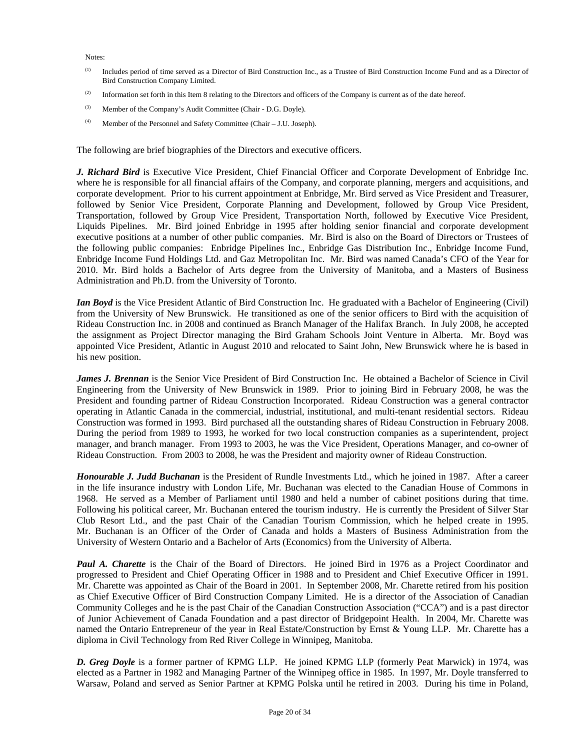Notes:

- (1) Includes period of time served as a Director of Bird Construction Inc., as a Trustee of Bird Construction Income Fund and as a Director of Bird Construction Company Limited.
- <sup>(2)</sup> Information set forth in this Item 8 relating to the Directors and officers of the Company is current as of the date hereof.
- (3) Member of the Company's Audit Committee (Chair D.G. Doyle).
- (4) Member of the Personnel and Safety Committee (Chair J.U. Joseph).

The following are brief biographies of the Directors and executive officers.

*J. Richard Bird* is Executive Vice President, Chief Financial Officer and Corporate Development of Enbridge Inc. where he is responsible for all financial affairs of the Company, and corporate planning, mergers and acquisitions, and corporate development. Prior to his current appointment at Enbridge, Mr. Bird served as Vice President and Treasurer, followed by Senior Vice President, Corporate Planning and Development, followed by Group Vice President, Transportation, followed by Group Vice President, Transportation North, followed by Executive Vice President, Liquids Pipelines. Mr. Bird joined Enbridge in 1995 after holding senior financial and corporate development executive positions at a number of other public companies. Mr. Bird is also on the Board of Directors or Trustees of the following public companies: Enbridge Pipelines Inc., Enbridge Gas Distribution Inc., Enbridge Income Fund, Enbridge Income Fund Holdings Ltd. and Gaz Metropolitan Inc. Mr. Bird was named Canada's CFO of the Year for 2010. Mr. Bird holds a Bachelor of Arts degree from the University of Manitoba, and a Masters of Business Administration and Ph.D. from the University of Toronto.

*Ian Boyd* is the Vice President Atlantic of Bird Construction Inc. He graduated with a Bachelor of Engineering (Civil) from the University of New Brunswick. He transitioned as one of the senior officers to Bird with the acquisition of Rideau Construction Inc. in 2008 and continued as Branch Manager of the Halifax Branch. In July 2008, he accepted the assignment as Project Director managing the Bird Graham Schools Joint Venture in Alberta. Mr. Boyd was appointed Vice President, Atlantic in August 2010 and relocated to Saint John, New Brunswick where he is based in his new position.

*James J. Brennan* is the Senior Vice President of Bird Construction Inc. He obtained a Bachelor of Science in Civil Engineering from the University of New Brunswick in 1989. Prior to joining Bird in February 2008, he was the President and founding partner of Rideau Construction Incorporated. Rideau Construction was a general contractor operating in Atlantic Canada in the commercial, industrial, institutional, and multi-tenant residential sectors. Rideau Construction was formed in 1993. Bird purchased all the outstanding shares of Rideau Construction in February 2008. During the period from 1989 to 1993, he worked for two local construction companies as a superintendent, project manager, and branch manager. From 1993 to 2003, he was the Vice President, Operations Manager, and co-owner of Rideau Construction. From 2003 to 2008, he was the President and majority owner of Rideau Construction.

*Honourable J. Judd Buchanan* is the President of Rundle Investments Ltd., which he joined in 1987. After a career in the life insurance industry with London Life, Mr. Buchanan was elected to the Canadian House of Commons in 1968. He served as a Member of Parliament until 1980 and held a number of cabinet positions during that time. Following his political career, Mr. Buchanan entered the tourism industry. He is currently the President of Silver Star Club Resort Ltd., and the past Chair of the Canadian Tourism Commission, which he helped create in 1995. Mr. Buchanan is an Officer of the Order of Canada and holds a Masters of Business Administration from the University of Western Ontario and a Bachelor of Arts (Economics) from the University of Alberta.

*Paul A. Charette* is the Chair of the Board of Directors. He joined Bird in 1976 as a Project Coordinator and progressed to President and Chief Operating Officer in 1988 and to President and Chief Executive Officer in 1991. Mr. Charette was appointed as Chair of the Board in 2001. In September 2008, Mr. Charette retired from his position as Chief Executive Officer of Bird Construction Company Limited. He is a director of the Association of Canadian Community Colleges and he is the past Chair of the Canadian Construction Association ("CCA") and is a past director of Junior Achievement of Canada Foundation and a past director of Bridgepoint Health. In 2004, Mr. Charette was named the Ontario Entrepreneur of the year in Real Estate/Construction by Ernst & Young LLP. Mr. Charette has a diploma in Civil Technology from Red River College in Winnipeg, Manitoba.

*D. Greg Doyle* is a former partner of KPMG LLP. He joined KPMG LLP (formerly Peat Marwick) in 1974, was elected as a Partner in 1982 and Managing Partner of the Winnipeg office in 1985. In 1997, Mr. Doyle transferred to Warsaw, Poland and served as Senior Partner at KPMG Polska until he retired in 2003. During his time in Poland,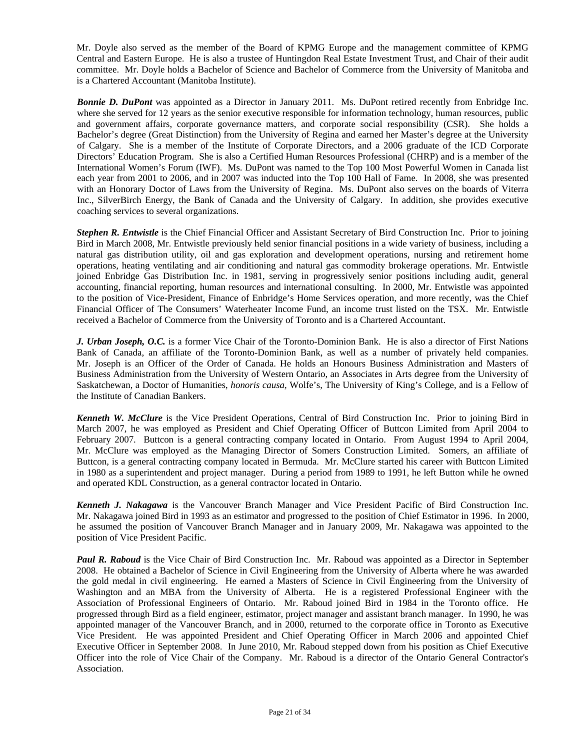Mr. Doyle also served as the member of the Board of KPMG Europe and the management committee of KPMG Central and Eastern Europe. He is also a trustee of Huntingdon Real Estate Investment Trust, and Chair of their audit committee. Mr. Doyle holds a Bachelor of Science and Bachelor of Commerce from the University of Manitoba and is a Chartered Accountant (Manitoba Institute).

**Bonnie D. DuPont** was appointed as a Director in January 2011. Ms. DuPont retired recently from Enbridge Inc. where she served for 12 years as the senior executive responsible for information technology, human resources, public and government affairs, corporate governance matters, and corporate social responsibility (CSR). She holds a Bachelor's degree (Great Distinction) from the University of Regina and earned her Master's degree at the University of Calgary. She is a member of the Institute of Corporate Directors, and a 2006 graduate of the ICD Corporate Directors' Education Program. She is also a Certified Human Resources Professional (CHRP) and is a member of the International Women's Forum (IWF). Ms. DuPont was named to the Top 100 Most Powerful Women in Canada list each year from 2001 to 2006, and in 2007 was inducted into the Top 100 Hall of Fame. In 2008, she was presented with an Honorary Doctor of Laws from the University of Regina. Ms. DuPont also serves on the boards of Viterra Inc., SilverBirch Energy, the Bank of Canada and the University of Calgary. In addition, she provides executive coaching services to several organizations.

*Stephen R. Entwistle* is the Chief Financial Officer and Assistant Secretary of Bird Construction Inc. Prior to joining Bird in March 2008, Mr. Entwistle previously held senior financial positions in a wide variety of business, including a natural gas distribution utility, oil and gas exploration and development operations, nursing and retirement home operations, heating ventilating and air conditioning and natural gas commodity brokerage operations. Mr. Entwistle joined Enbridge Gas Distribution Inc. in 1981, serving in progressively senior positions including audit, general accounting, financial reporting, human resources and international consulting. In 2000, Mr. Entwistle was appointed to the position of Vice-President, Finance of Enbridge's Home Services operation, and more recently, was the Chief Financial Officer of The Consumers' Waterheater Income Fund, an income trust listed on the TSX. Mr. Entwistle received a Bachelor of Commerce from the University of Toronto and is a Chartered Accountant.

*J. Urban Joseph, O.C.* is a former Vice Chair of the Toronto-Dominion Bank. He is also a director of First Nations Bank of Canada, an affiliate of the Toronto-Dominion Bank, as well as a number of privately held companies. Mr. Joseph is an Officer of the Order of Canada. He holds an Honours Business Administration and Masters of Business Administration from the University of Western Ontario, an Associates in Arts degree from the University of Saskatchewan, a Doctor of Humanities, *honoris causa,* Wolfe's, The University of King's College, and is a Fellow of the Institute of Canadian Bankers.

*Kenneth W. McClure* is the Vice President Operations, Central of Bird Construction Inc. Prior to joining Bird in March 2007, he was employed as President and Chief Operating Officer of Buttcon Limited from April 2004 to February 2007. Buttcon is a general contracting company located in Ontario. From August 1994 to April 2004, Mr. McClure was employed as the Managing Director of Somers Construction Limited. Somers, an affiliate of Buttcon, is a general contracting company located in Bermuda. Mr. McClure started his career with Buttcon Limited in 1980 as a superintendent and project manager. During a period from 1989 to 1991, he left Button while he owned and operated KDL Construction, as a general contractor located in Ontario.

*Kenneth J. Nakagawa* is the Vancouver Branch Manager and Vice President Pacific of Bird Construction Inc. Mr. Nakagawa joined Bird in 1993 as an estimator and progressed to the position of Chief Estimator in 1996. In 2000, he assumed the position of Vancouver Branch Manager and in January 2009, Mr. Nakagawa was appointed to the position of Vice President Pacific.

*Paul R. Raboud* is the Vice Chair of Bird Construction Inc. Mr. Raboud was appointed as a Director in September 2008. He obtained a Bachelor of Science in Civil Engineering from the University of Alberta where he was awarded the gold medal in civil engineering. He earned a Masters of Science in Civil Engineering from the University of Washington and an MBA from the University of Alberta. He is a registered Professional Engineer with the Association of Professional Engineers of Ontario. Mr. Raboud joined Bird in 1984 in the Toronto office. He progressed through Bird as a field engineer, estimator, project manager and assistant branch manager. In 1990, he was appointed manager of the Vancouver Branch, and in 2000, returned to the corporate office in Toronto as Executive Vice President. He was appointed President and Chief Operating Officer in March 2006 and appointed Chief Executive Officer in September 2008. In June 2010, Mr. Raboud stepped down from his position as Chief Executive Officer into the role of Vice Chair of the Company. Mr. Raboud is a director of the Ontario General Contractor's Association.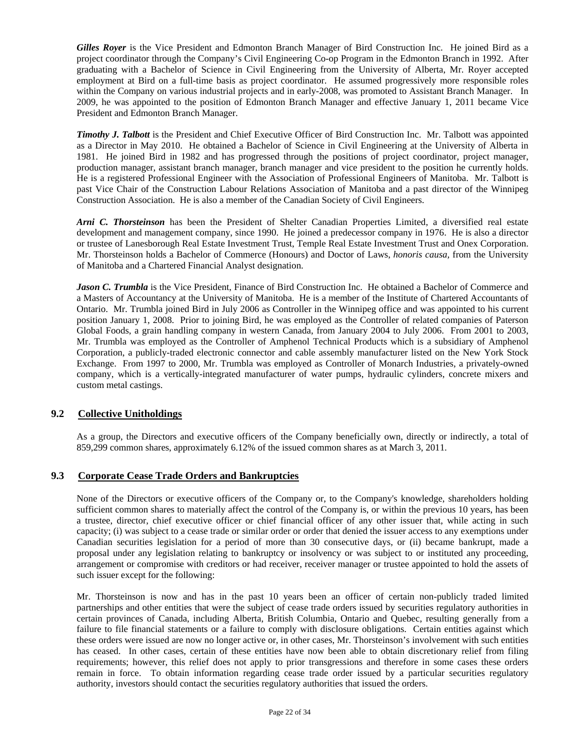*Gilles Royer* is the Vice President and Edmonton Branch Manager of Bird Construction Inc. He joined Bird as a project coordinator through the Company's Civil Engineering Co-op Program in the Edmonton Branch in 1992. After graduating with a Bachelor of Science in Civil Engineering from the University of Alberta, Mr. Royer accepted employment at Bird on a full-time basis as project coordinator. He assumed progressively more responsible roles within the Company on various industrial projects and in early-2008, was promoted to Assistant Branch Manager. In 2009, he was appointed to the position of Edmonton Branch Manager and effective January 1, 2011 became Vice President and Edmonton Branch Manager.

*Timothy J. Talbott* is the President and Chief Executive Officer of Bird Construction Inc. Mr. Talbott was appointed as a Director in May 2010. He obtained a Bachelor of Science in Civil Engineering at the University of Alberta in 1981. He joined Bird in 1982 and has progressed through the positions of project coordinator, project manager, production manager, assistant branch manager, branch manager and vice president to the position he currently holds. He is a registered Professional Engineer with the Association of Professional Engineers of Manitoba. Mr. Talbott is past Vice Chair of the Construction Labour Relations Association of Manitoba and a past director of the Winnipeg Construction Association. He is also a member of the Canadian Society of Civil Engineers.

*Arni C. Thorsteinson* has been the President of Shelter Canadian Properties Limited, a diversified real estate development and management company, since 1990. He joined a predecessor company in 1976. He is also a director or trustee of Lanesborough Real Estate Investment Trust, Temple Real Estate Investment Trust and Onex Corporation. Mr. Thorsteinson holds a Bachelor of Commerce (Honours) and Doctor of Laws, *honoris causa,* from the University of Manitoba and a Chartered Financial Analyst designation.

*Jason C. Trumbla* is the Vice President, Finance of Bird Construction Inc. He obtained a Bachelor of Commerce and a Masters of Accountancy at the University of Manitoba. He is a member of the Institute of Chartered Accountants of Ontario. Mr. Trumbla joined Bird in July 2006 as Controller in the Winnipeg office and was appointed to his current position January 1, 2008. Prior to joining Bird, he was employed as the Controller of related companies of Paterson Global Foods, a grain handling company in western Canada, from January 2004 to July 2006. From 2001 to 2003, Mr. Trumbla was employed as the Controller of Amphenol Technical Products which is a subsidiary of Amphenol Corporation, a publicly-traded electronic connector and cable assembly manufacturer listed on the New York Stock Exchange. From 1997 to 2000, Mr. Trumbla was employed as Controller of Monarch Industries, a privately-owned company, which is a vertically-integrated manufacturer of water pumps, hydraulic cylinders, concrete mixers and custom metal castings.

### **9.2 Collective Unitholdings**

As a group, the Directors and executive officers of the Company beneficially own, directly or indirectly, a total of 859,299 common shares, approximately 6.12% of the issued common shares as at March 3, 2011.

### **9.3 Corporate Cease Trade Orders and Bankruptcies**

None of the Directors or executive officers of the Company or, to the Company's knowledge, shareholders holding sufficient common shares to materially affect the control of the Company is, or within the previous 10 years, has been a trustee, director, chief executive officer or chief financial officer of any other issuer that, while acting in such capacity; (i) was subject to a cease trade or similar order or order that denied the issuer access to any exemptions under Canadian securities legislation for a period of more than 30 consecutive days, or (ii) became bankrupt, made a proposal under any legislation relating to bankruptcy or insolvency or was subject to or instituted any proceeding, arrangement or compromise with creditors or had receiver, receiver manager or trustee appointed to hold the assets of such issuer except for the following:

Mr. Thorsteinson is now and has in the past 10 years been an officer of certain non-publicly traded limited partnerships and other entities that were the subject of cease trade orders issued by securities regulatory authorities in certain provinces of Canada, including Alberta, British Columbia, Ontario and Quebec, resulting generally from a failure to file financial statements or a failure to comply with disclosure obligations. Certain entities against which these orders were issued are now no longer active or, in other cases, Mr. Thorsteinson's involvement with such entities has ceased. In other cases, certain of these entities have now been able to obtain discretionary relief from filing requirements; however, this relief does not apply to prior transgressions and therefore in some cases these orders remain in force. To obtain information regarding cease trade order issued by a particular securities regulatory authority, investors should contact the securities regulatory authorities that issued the orders.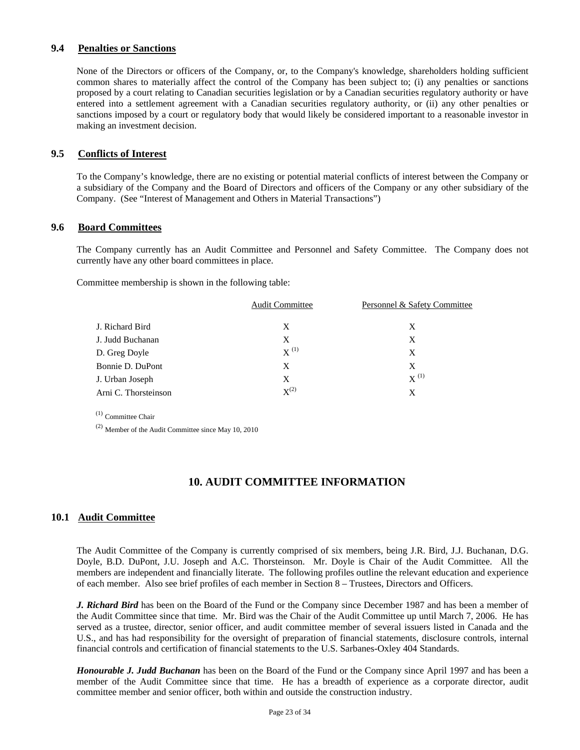## **9.4 Penalties or Sanctions**

None of the Directors or officers of the Company, or, to the Company's knowledge, shareholders holding sufficient common shares to materially affect the control of the Company has been subject to; (i) any penalties or sanctions proposed by a court relating to Canadian securities legislation or by a Canadian securities regulatory authority or have entered into a settlement agreement with a Canadian securities regulatory authority, or (ii) any other penalties or sanctions imposed by a court or regulatory body that would likely be considered important to a reasonable investor in making an investment decision.

### **9.5 Conflicts of Interest**

To the Company's knowledge, there are no existing or potential material conflicts of interest between the Company or a subsidiary of the Company and the Board of Directors and officers of the Company or any other subsidiary of the Company. (See "Interest of Management and Others in Material Transactions")

### **9.6 Board Committees**

The Company currently has an Audit Committee and Personnel and Safety Committee. The Company does not currently have any other board committees in place.

Committee membership is shown in the following table:

| <b>Audit Committee</b> | Personnel & Safety Committee |
|------------------------|------------------------------|
| X                      | X                            |
| X                      | X                            |
| $X^{(1)}$              | X                            |
| X                      | X                            |
| X                      | $X^{(1)}$                    |
| $X^{(2)}$              | X                            |
|                        |                              |

(1) Committee Chair

(2) Member of the Audit Committee since May 10, 2010

# **10. AUDIT COMMITTEE INFORMATION**

### **10.1 Audit Committee**

The Audit Committee of the Company is currently comprised of six members, being J.R. Bird, J.J. Buchanan, D.G. Doyle, B.D. DuPont, J.U. Joseph and A.C. Thorsteinson. Mr. Doyle is Chair of the Audit Committee. All the members are independent and financially literate. The following profiles outline the relevant education and experience of each member. Also see brief profiles of each member in Section 8 – Trustees, Directors and Officers.

*J. Richard Bird* has been on the Board of the Fund or the Company since December 1987 and has been a member of the Audit Committee since that time. Mr. Bird was the Chair of the Audit Committee up until March 7, 2006. He has served as a trustee, director, senior officer, and audit committee member of several issuers listed in Canada and the U.S., and has had responsibility for the oversight of preparation of financial statements, disclosure controls, internal financial controls and certification of financial statements to the U.S. Sarbanes-Oxley 404 Standards.

*Honourable J. Judd Buchanan* has been on the Board of the Fund or the Company since April 1997 and has been a member of the Audit Committee since that time. He has a breadth of experience as a corporate director, audit committee member and senior officer, both within and outside the construction industry.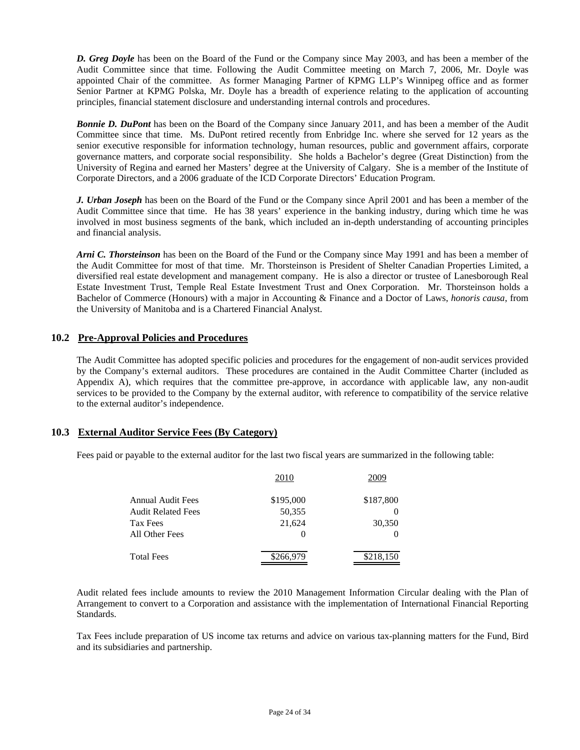*D. Greg Doyle* has been on the Board of the Fund or the Company since May 2003, and has been a member of the Audit Committee since that time. Following the Audit Committee meeting on March 7, 2006, Mr. Doyle was appointed Chair of the committee. As former Managing Partner of KPMG LLP's Winnipeg office and as former Senior Partner at KPMG Polska, Mr. Doyle has a breadth of experience relating to the application of accounting principles, financial statement disclosure and understanding internal controls and procedures.

*Bonnie D. DuPont* has been on the Board of the Company since January 2011, and has been a member of the Audit Committee since that time. Ms. DuPont retired recently from Enbridge Inc. where she served for 12 years as the senior executive responsible for information technology, human resources, public and government affairs, corporate governance matters, and corporate social responsibility. She holds a Bachelor's degree (Great Distinction) from the University of Regina and earned her Masters' degree at the University of Calgary. She is a member of the Institute of Corporate Directors, and a 2006 graduate of the ICD Corporate Directors' Education Program.

*J. Urban Joseph* has been on the Board of the Fund or the Company since April 2001 and has been a member of the Audit Committee since that time. He has 38 years' experience in the banking industry, during which time he was involved in most business segments of the bank, which included an in-depth understanding of accounting principles and financial analysis.

*Arni C. Thorsteinson* has been on the Board of the Fund or the Company since May 1991 and has been a member of the Audit Committee for most of that time. Mr. Thorsteinson is President of Shelter Canadian Properties Limited, a diversified real estate development and management company. He is also a director or trustee of Lanesborough Real Estate Investment Trust, Temple Real Estate Investment Trust and Onex Corporation. Mr. Thorsteinson holds a Bachelor of Commerce (Honours) with a major in Accounting & Finance and a Doctor of Laws, *honoris causa*, from the University of Manitoba and is a Chartered Financial Analyst.

### **10.2 Pre-Approval Policies and Procedures**

The Audit Committee has adopted specific policies and procedures for the engagement of non-audit services provided by the Company's external auditors. These procedures are contained in the Audit Committee Charter (included as Appendix A), which requires that the committee pre-approve, in accordance with applicable law, any non-audit services to be provided to the Company by the external auditor, with reference to compatibility of the service relative to the external auditor's independence.

### **10.3 External Auditor Service Fees (By Category)**

Fees paid or payable to the external auditor for the last two fiscal years are summarized in the following table:

|                           | 2010      | 2009      |
|---------------------------|-----------|-----------|
| Annual Audit Fees         | \$195,000 | \$187,800 |
| <b>Audit Related Fees</b> | 50,355    |           |
| Tax Fees                  | 21,624    | 30,350    |
| All Other Fees            | $\theta$  |           |
| <b>Total Fees</b>         | \$266,979 | \$218,150 |

Audit related fees include amounts to review the 2010 Management Information Circular dealing with the Plan of Arrangement to convert to a Corporation and assistance with the implementation of International Financial Reporting Standards.

Tax Fees include preparation of US income tax returns and advice on various tax-planning matters for the Fund, Bird and its subsidiaries and partnership.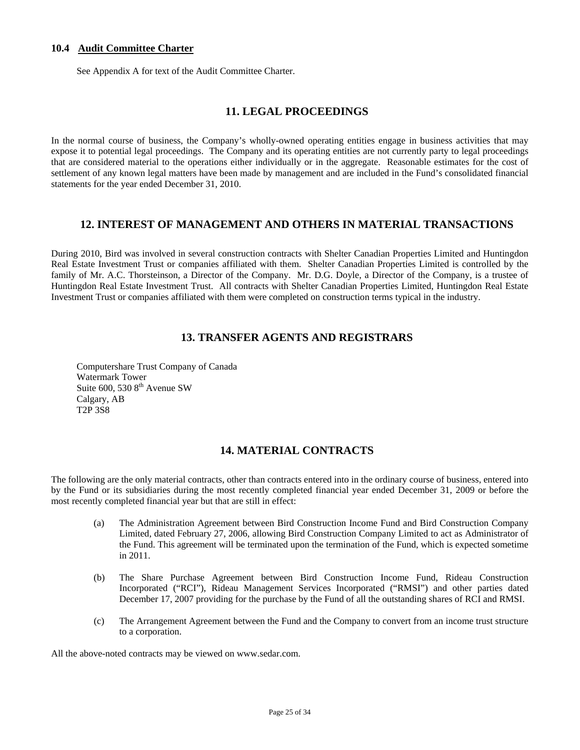## **10.4 Audit Committee Charter**

See Appendix A for text of the Audit Committee Charter.

## **11. LEGAL PROCEEDINGS**

In the normal course of business, the Company's wholly-owned operating entities engage in business activities that may expose it to potential legal proceedings. The Company and its operating entities are not currently party to legal proceedings that are considered material to the operations either individually or in the aggregate. Reasonable estimates for the cost of settlement of any known legal matters have been made by management and are included in the Fund's consolidated financial statements for the year ended December 31, 2010.

## **12. INTEREST OF MANAGEMENT AND OTHERS IN MATERIAL TRANSACTIONS**

During 2010, Bird was involved in several construction contracts with Shelter Canadian Properties Limited and Huntingdon Real Estate Investment Trust or companies affiliated with them. Shelter Canadian Properties Limited is controlled by the family of Mr. A.C. Thorsteinson, a Director of the Company. Mr. D.G. Doyle, a Director of the Company, is a trustee of Huntingdon Real Estate Investment Trust. All contracts with Shelter Canadian Properties Limited, Huntingdon Real Estate Investment Trust or companies affiliated with them were completed on construction terms typical in the industry.

# **13. TRANSFER AGENTS AND REGISTRARS**

Computershare Trust Company of Canada Watermark Tower Suite 600, 530 8<sup>th</sup> Avenue SW Calgary, AB T2P 3S8

# **14. MATERIAL CONTRACTS**

The following are the only material contracts, other than contracts entered into in the ordinary course of business, entered into by the Fund or its subsidiaries during the most recently completed financial year ended December 31, 2009 or before the most recently completed financial year but that are still in effect:

- (a) The Administration Agreement between Bird Construction Income Fund and Bird Construction Company Limited, dated February 27, 2006, allowing Bird Construction Company Limited to act as Administrator of the Fund. This agreement will be terminated upon the termination of the Fund, which is expected sometime in 2011.
- (b) The Share Purchase Agreement between Bird Construction Income Fund, Rideau Construction Incorporated ("RCI"), Rideau Management Services Incorporated ("RMSI") and other parties dated December 17, 2007 providing for the purchase by the Fund of all the outstanding shares of RCI and RMSI.
- (c) The Arrangement Agreement between the Fund and the Company to convert from an income trust structure to a corporation.

All the above-noted contracts may be viewed on www.sedar.com.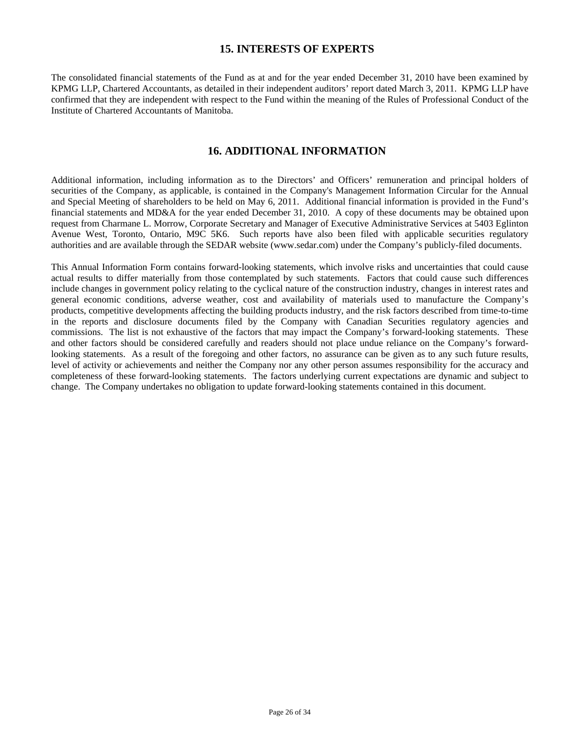## **15. INTERESTS OF EXPERTS**

The consolidated financial statements of the Fund as at and for the year ended December 31, 2010 have been examined by KPMG LLP, Chartered Accountants, as detailed in their independent auditors' report dated March 3, 2011. KPMG LLP have confirmed that they are independent with respect to the Fund within the meaning of the Rules of Professional Conduct of the Institute of Chartered Accountants of Manitoba.

## **16. ADDITIONAL INFORMATION**

Additional information, including information as to the Directors' and Officers' remuneration and principal holders of securities of the Company, as applicable, is contained in the Company's Management Information Circular for the Annual and Special Meeting of shareholders to be held on May 6, 2011. Additional financial information is provided in the Fund's financial statements and MD&A for the year ended December 31, 2010. A copy of these documents may be obtained upon request from Charmane L. Morrow, Corporate Secretary and Manager of Executive Administrative Services at 5403 Eglinton Avenue West, Toronto, Ontario, M9C 5K6. Such reports have also been filed with applicable securities regulatory authorities and are available through the SEDAR website (www.sedar.com) under the Company's publicly-filed documents.

This Annual Information Form contains forward-looking statements, which involve risks and uncertainties that could cause actual results to differ materially from those contemplated by such statements. Factors that could cause such differences include changes in government policy relating to the cyclical nature of the construction industry, changes in interest rates and general economic conditions, adverse weather, cost and availability of materials used to manufacture the Company's products, competitive developments affecting the building products industry, and the risk factors described from time-to-time in the reports and disclosure documents filed by the Company with Canadian Securities regulatory agencies and commissions. The list is not exhaustive of the factors that may impact the Company's forward-looking statements. These and other factors should be considered carefully and readers should not place undue reliance on the Company's forwardlooking statements. As a result of the foregoing and other factors, no assurance can be given as to any such future results, level of activity or achievements and neither the Company nor any other person assumes responsibility for the accuracy and completeness of these forward-looking statements. The factors underlying current expectations are dynamic and subject to change. The Company undertakes no obligation to update forward-looking statements contained in this document.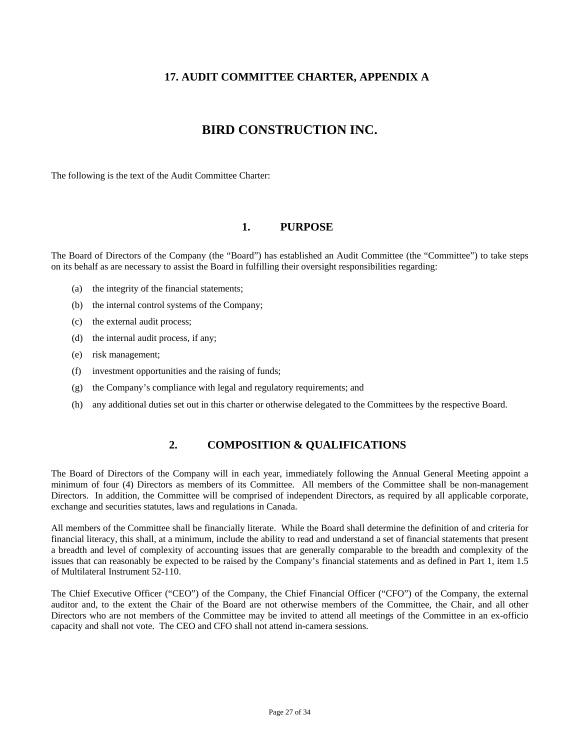# **17. AUDIT COMMITTEE CHARTER, APPENDIX A**

# **BIRD CONSTRUCTION INC.**

The following is the text of the Audit Committee Charter:

### **1. PURPOSE**

The Board of Directors of the Company (the "Board") has established an Audit Committee (the "Committee") to take steps on its behalf as are necessary to assist the Board in fulfilling their oversight responsibilities regarding:

- (a) the integrity of the financial statements;
- (b) the internal control systems of the Company;
- (c) the external audit process;
- (d) the internal audit process, if any;
- (e) risk management;
- (f) investment opportunities and the raising of funds;
- (g) the Company's compliance with legal and regulatory requirements; and
- (h) any additional duties set out in this charter or otherwise delegated to the Committees by the respective Board.

# **2. COMPOSITION & QUALIFICATIONS**

The Board of Directors of the Company will in each year, immediately following the Annual General Meeting appoint a minimum of four (4) Directors as members of its Committee. All members of the Committee shall be non-management Directors. In addition, the Committee will be comprised of independent Directors, as required by all applicable corporate, exchange and securities statutes, laws and regulations in Canada.

All members of the Committee shall be financially literate. While the Board shall determine the definition of and criteria for financial literacy, this shall, at a minimum, include the ability to read and understand a set of financial statements that present a breadth and level of complexity of accounting issues that are generally comparable to the breadth and complexity of the issues that can reasonably be expected to be raised by the Company's financial statements and as defined in Part 1, item 1.5 of Multilateral Instrument 52-110.

The Chief Executive Officer ("CEO") of the Company, the Chief Financial Officer ("CFO") of the Company, the external auditor and, to the extent the Chair of the Board are not otherwise members of the Committee, the Chair, and all other Directors who are not members of the Committee may be invited to attend all meetings of the Committee in an ex-officio capacity and shall not vote. The CEO and CFO shall not attend in-camera sessions.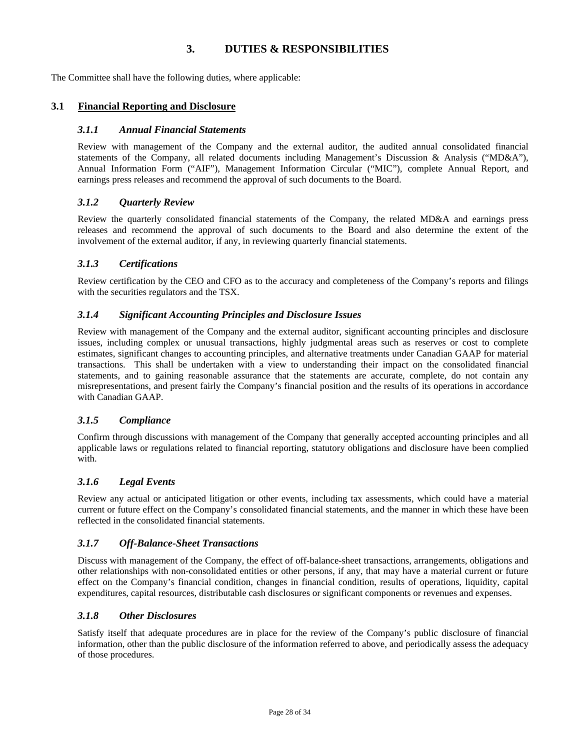# **3. DUTIES & RESPONSIBILITIES**

The Committee shall have the following duties, where applicable:

## **3.1 Financial Reporting and Disclosure**

## *3.1.1 Annual Financial Statements*

Review with management of the Company and the external auditor, the audited annual consolidated financial statements of the Company, all related documents including Management's Discussion & Analysis ("MD&A"), Annual Information Form ("AIF"), Management Information Circular ("MIC"), complete Annual Report, and earnings press releases and recommend the approval of such documents to the Board.

### *3.1.2 Quarterly Review*

Review the quarterly consolidated financial statements of the Company, the related MD&A and earnings press releases and recommend the approval of such documents to the Board and also determine the extent of the involvement of the external auditor, if any, in reviewing quarterly financial statements.

### *3.1.3 Certifications*

Review certification by the CEO and CFO as to the accuracy and completeness of the Company's reports and filings with the securities regulators and the TSX.

### *3.1.4 Significant Accounting Principles and Disclosure Issues*

Review with management of the Company and the external auditor, significant accounting principles and disclosure issues, including complex or unusual transactions, highly judgmental areas such as reserves or cost to complete estimates, significant changes to accounting principles, and alternative treatments under Canadian GAAP for material transactions. This shall be undertaken with a view to understanding their impact on the consolidated financial statements, and to gaining reasonable assurance that the statements are accurate, complete, do not contain any misrepresentations, and present fairly the Company's financial position and the results of its operations in accordance with Canadian GAAP.

### *3.1.5 Compliance*

Confirm through discussions with management of the Company that generally accepted accounting principles and all applicable laws or regulations related to financial reporting, statutory obligations and disclosure have been complied with

## *3.1.6 Legal Events*

Review any actual or anticipated litigation or other events, including tax assessments, which could have a material current or future effect on the Company's consolidated financial statements, and the manner in which these have been reflected in the consolidated financial statements.

## *3.1.7 Off-Balance-Sheet Transactions*

Discuss with management of the Company, the effect of off-balance-sheet transactions, arrangements, obligations and other relationships with non-consolidated entities or other persons, if any, that may have a material current or future effect on the Company's financial condition, changes in financial condition, results of operations, liquidity, capital expenditures, capital resources, distributable cash disclosures or significant components or revenues and expenses.

### *3.1.8 Other Disclosures*

Satisfy itself that adequate procedures are in place for the review of the Company's public disclosure of financial information, other than the public disclosure of the information referred to above, and periodically assess the adequacy of those procedures.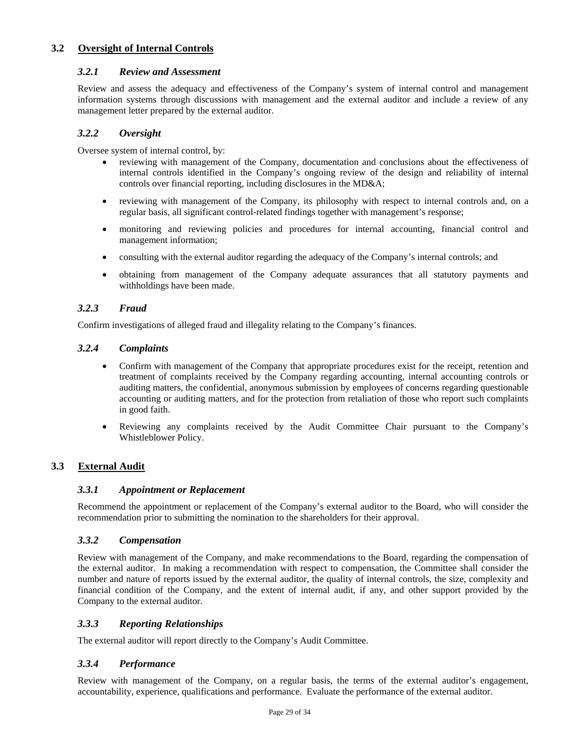## **3.2 Oversight of Internal Controls**

## *3.2.1 Review and Assessment*

Review and assess the adequacy and effectiveness of the Company's system of internal control and management information systems through discussions with management and the external auditor and include a review of any management letter prepared by the external auditor.

### *3.2.2 Oversight*

Oversee system of internal control, by:

- reviewing with management of the Company, documentation and conclusions about the effectiveness of internal controls identified in the Company's ongoing review of the design and reliability of internal controls over financial reporting, including disclosures in the MD&A;
- reviewing with management of the Company, its philosophy with respect to internal controls and, on a regular basis, all significant control-related findings together with management's response;
- monitoring and reviewing policies and procedures for internal accounting, financial control and management information;
- consulting with the external auditor regarding the adequacy of the Company's internal controls; and
- obtaining from management of the Company adequate assurances that all statutory payments and withholdings have been made.

### *3.2.3 Fraud*

Confirm investigations of alleged fraud and illegality relating to the Company's finances.

### *3.2.4 Complaints*

- Confirm with management of the Company that appropriate procedures exist for the receipt, retention and treatment of complaints received by the Company regarding accounting, internal accounting controls or auditing matters, the confidential, anonymous submission by employees of concerns regarding questionable accounting or auditing matters, and for the protection from retaliation of those who report such complaints in good faith.
- Reviewing any complaints received by the Audit Committee Chair pursuant to the Company's Whistleblower Policy.

## **3.3 External Audit**

## *3.3.1 Appointment or Replacement*

Recommend the appointment or replacement of the Company's external auditor to the Board, who will consider the recommendation prior to submitting the nomination to the shareholders for their approval.

### *3.3.2 Compensation*

Review with management of the Company, and make recommendations to the Board, regarding the compensation of the external auditor. In making a recommendation with respect to compensation, the Committee shall consider the number and nature of reports issued by the external auditor, the quality of internal controls, the size, complexity and financial condition of the Company, and the extent of internal audit, if any, and other support provided by the Company to the external auditor.

### *3.3.3 Reporting Relationships*

The external auditor will report directly to the Company's Audit Committee.

### *3.3.4 Performance*

Review with management of the Company, on a regular basis, the terms of the external auditor's engagement, accountability, experience, qualifications and performance. Evaluate the performance of the external auditor.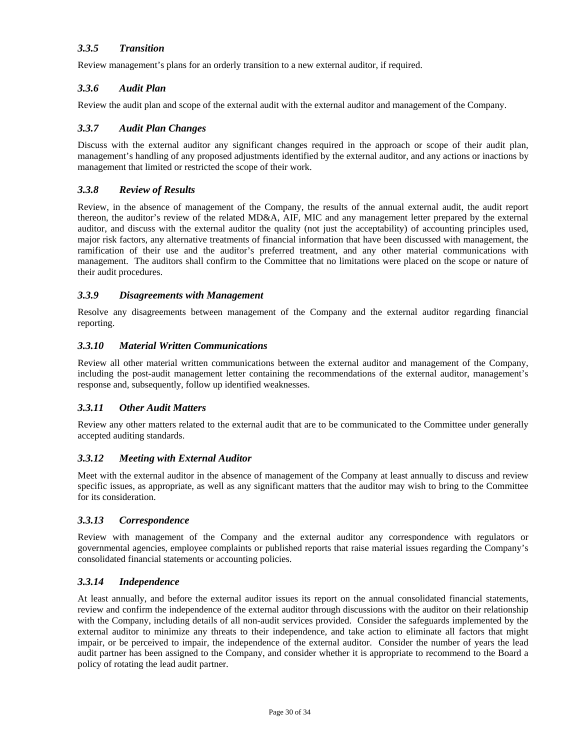## *3.3.5 Transition*

Review management's plans for an orderly transition to a new external auditor, if required.

## *3.3.6 Audit Plan*

Review the audit plan and scope of the external audit with the external auditor and management of the Company.

### *3.3.7 Audit Plan Changes*

Discuss with the external auditor any significant changes required in the approach or scope of their audit plan, management's handling of any proposed adjustments identified by the external auditor, and any actions or inactions by management that limited or restricted the scope of their work.

### *3.3.8 Review of Results*

Review, in the absence of management of the Company, the results of the annual external audit, the audit report thereon, the auditor's review of the related MD&A, AIF, MIC and any management letter prepared by the external auditor, and discuss with the external auditor the quality (not just the acceptability) of accounting principles used, major risk factors, any alternative treatments of financial information that have been discussed with management, the ramification of their use and the auditor's preferred treatment, and any other material communications with management. The auditors shall confirm to the Committee that no limitations were placed on the scope or nature of their audit procedures.

### *3.3.9 Disagreements with Management*

Resolve any disagreements between management of the Company and the external auditor regarding financial reporting.

### *3.3.10 Material Written Communications*

Review all other material written communications between the external auditor and management of the Company, including the post-audit management letter containing the recommendations of the external auditor, management's response and, subsequently, follow up identified weaknesses.

### *3.3.11 Other Audit Matters*

Review any other matters related to the external audit that are to be communicated to the Committee under generally accepted auditing standards.

## *3.3.12 Meeting with External Auditor*

Meet with the external auditor in the absence of management of the Company at least annually to discuss and review specific issues, as appropriate, as well as any significant matters that the auditor may wish to bring to the Committee for its consideration.

### *3.3.13 Correspondence*

Review with management of the Company and the external auditor any correspondence with regulators or governmental agencies, employee complaints or published reports that raise material issues regarding the Company's consolidated financial statements or accounting policies.

### *3.3.14 Independence*

At least annually, and before the external auditor issues its report on the annual consolidated financial statements, review and confirm the independence of the external auditor through discussions with the auditor on their relationship with the Company, including details of all non-audit services provided. Consider the safeguards implemented by the external auditor to minimize any threats to their independence, and take action to eliminate all factors that might impair, or be perceived to impair, the independence of the external auditor. Consider the number of years the lead audit partner has been assigned to the Company, and consider whether it is appropriate to recommend to the Board a policy of rotating the lead audit partner.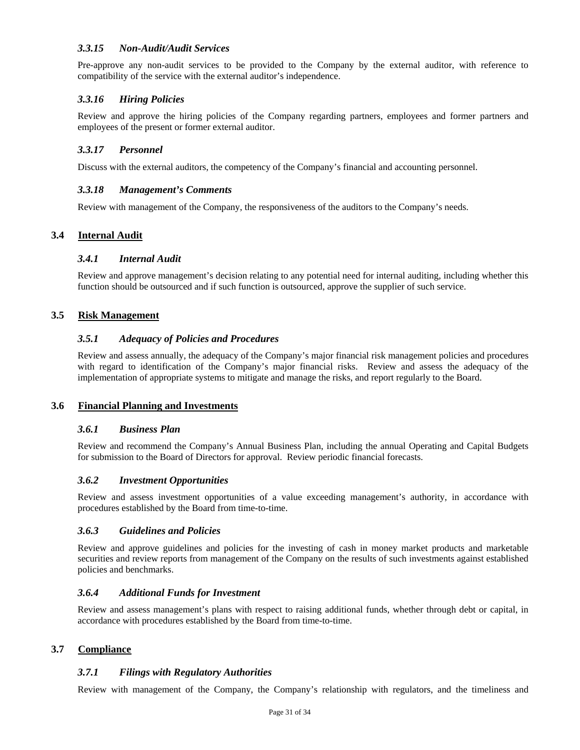## *3.3.15 Non-Audit/Audit Services*

Pre-approve any non-audit services to be provided to the Company by the external auditor, with reference to compatibility of the service with the external auditor's independence.

## *3.3.16 Hiring Policies*

Review and approve the hiring policies of the Company regarding partners, employees and former partners and employees of the present or former external auditor.

## *3.3.17 Personnel*

Discuss with the external auditors, the competency of the Company's financial and accounting personnel.

### *3.3.18 Management's Comments*

Review with management of the Company, the responsiveness of the auditors to the Company's needs.

## **3.4 Internal Audit**

### *3.4.1 Internal Audit*

Review and approve management's decision relating to any potential need for internal auditing, including whether this function should be outsourced and if such function is outsourced, approve the supplier of such service.

### **3.5 Risk Management**

### *3.5.1 Adequacy of Policies and Procedures*

Review and assess annually, the adequacy of the Company's major financial risk management policies and procedures with regard to identification of the Company's major financial risks. Review and assess the adequacy of the implementation of appropriate systems to mitigate and manage the risks, and report regularly to the Board.

### **3.6 Financial Planning and Investments**

### *3.6.1 Business Plan*

Review and recommend the Company's Annual Business Plan, including the annual Operating and Capital Budgets for submission to the Board of Directors for approval. Review periodic financial forecasts.

### *3.6.2 Investment Opportunities*

Review and assess investment opportunities of a value exceeding management's authority, in accordance with procedures established by the Board from time-to-time.

### *3.6.3 Guidelines and Policies*

Review and approve guidelines and policies for the investing of cash in money market products and marketable securities and review reports from management of the Company on the results of such investments against established policies and benchmarks.

### *3.6.4 Additional Funds for Investment*

Review and assess management's plans with respect to raising additional funds, whether through debt or capital, in accordance with procedures established by the Board from time-to-time.

## **3.7 Compliance**

## *3.7.1 Filings with Regulatory Authorities*

Review with management of the Company, the Company's relationship with regulators, and the timeliness and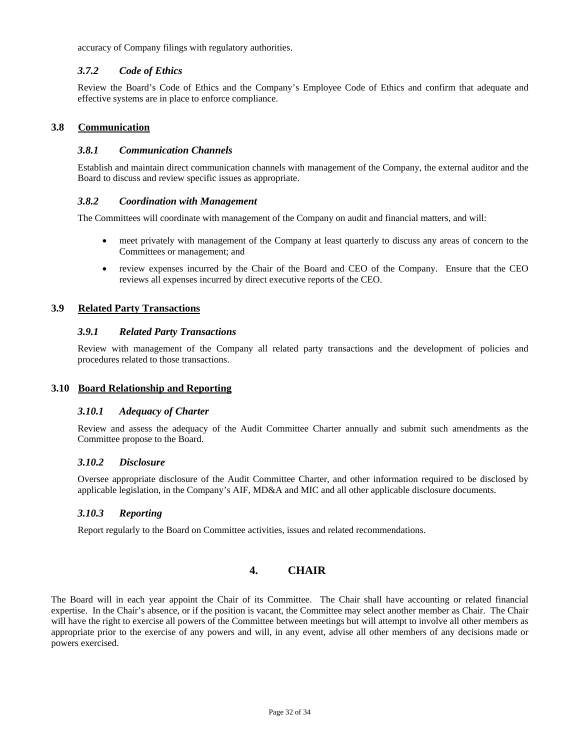accuracy of Company filings with regulatory authorities.

### *3.7.2 Code of Ethics*

Review the Board's Code of Ethics and the Company's Employee Code of Ethics and confirm that adequate and effective systems are in place to enforce compliance.

### **3.8 Communication**

### *3.8.1 Communication Channels*

Establish and maintain direct communication channels with management of the Company, the external auditor and the Board to discuss and review specific issues as appropriate.

### *3.8.2 Coordination with Management*

The Committees will coordinate with management of the Company on audit and financial matters, and will:

- meet privately with management of the Company at least quarterly to discuss any areas of concern to the Committees or management; and
- review expenses incurred by the Chair of the Board and CEO of the Company. Ensure that the CEO reviews all expenses incurred by direct executive reports of the CEO.

### **3.9 Related Party Transactions**

### *3.9.1 Related Party Transactions*

Review with management of the Company all related party transactions and the development of policies and procedures related to those transactions.

### **3.10 Board Relationship and Reporting**

### *3.10.1 Adequacy of Charter*

Review and assess the adequacy of the Audit Committee Charter annually and submit such amendments as the Committee propose to the Board.

### *3.10.2 Disclosure*

Oversee appropriate disclosure of the Audit Committee Charter, and other information required to be disclosed by applicable legislation, in the Company's AIF, MD&A and MIC and all other applicable disclosure documents.

## *3.10.3 Reporting*

Report regularly to the Board on Committee activities, issues and related recommendations.

# **4. CHAIR**

The Board will in each year appoint the Chair of its Committee. The Chair shall have accounting or related financial expertise. In the Chair's absence, or if the position is vacant, the Committee may select another member as Chair. The Chair will have the right to exercise all powers of the Committee between meetings but will attempt to involve all other members as appropriate prior to the exercise of any powers and will, in any event, advise all other members of any decisions made or powers exercised.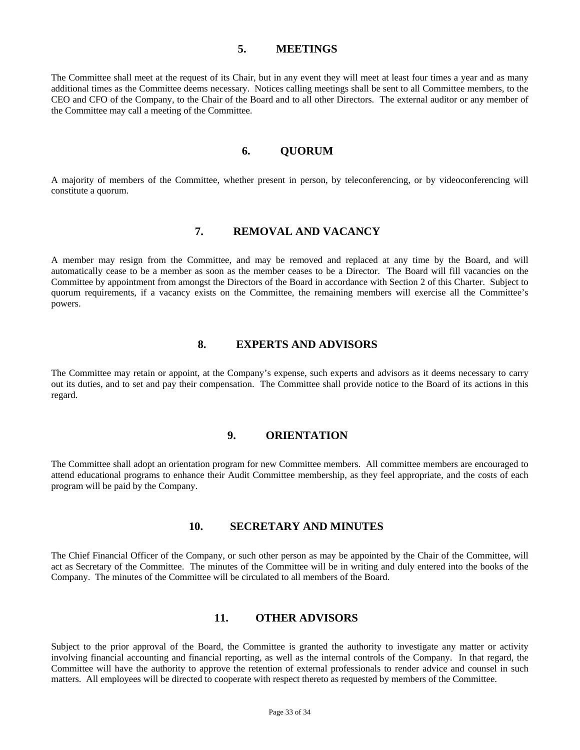### **5. MEETINGS**

The Committee shall meet at the request of its Chair, but in any event they will meet at least four times a year and as many additional times as the Committee deems necessary. Notices calling meetings shall be sent to all Committee members, to the CEO and CFO of the Company, to the Chair of the Board and to all other Directors. The external auditor or any member of the Committee may call a meeting of the Committee.

## **6. QUORUM**

A majority of members of the Committee, whether present in person, by teleconferencing, or by videoconferencing will constitute a quorum.

# **7. REMOVAL AND VACANCY**

A member may resign from the Committee, and may be removed and replaced at any time by the Board, and will automatically cease to be a member as soon as the member ceases to be a Director. The Board will fill vacancies on the Committee by appointment from amongst the Directors of the Board in accordance with Section 2 of this Charter. Subject to quorum requirements, if a vacancy exists on the Committee, the remaining members will exercise all the Committee's powers.

## **8. EXPERTS AND ADVISORS**

The Committee may retain or appoint, at the Company's expense, such experts and advisors as it deems necessary to carry out its duties, and to set and pay their compensation. The Committee shall provide notice to the Board of its actions in this regard.

### **9. ORIENTATION**

The Committee shall adopt an orientation program for new Committee members. All committee members are encouraged to attend educational programs to enhance their Audit Committee membership, as they feel appropriate, and the costs of each program will be paid by the Company.

## **10. SECRETARY AND MINUTES**

The Chief Financial Officer of the Company, or such other person as may be appointed by the Chair of the Committee, will act as Secretary of the Committee. The minutes of the Committee will be in writing and duly entered into the books of the Company. The minutes of the Committee will be circulated to all members of the Board.

## **11. OTHER ADVISORS**

Subject to the prior approval of the Board, the Committee is granted the authority to investigate any matter or activity involving financial accounting and financial reporting, as well as the internal controls of the Company. In that regard, the Committee will have the authority to approve the retention of external professionals to render advice and counsel in such matters. All employees will be directed to cooperate with respect thereto as requested by members of the Committee.